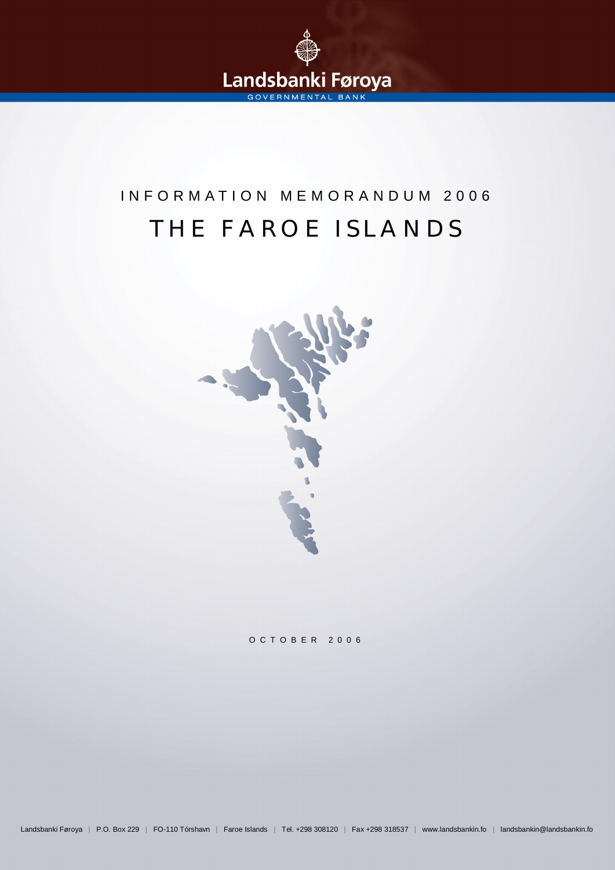

# THE FAROE ISLANDS INFORMATION MEMORANDUM 2006



OCTOBER 2006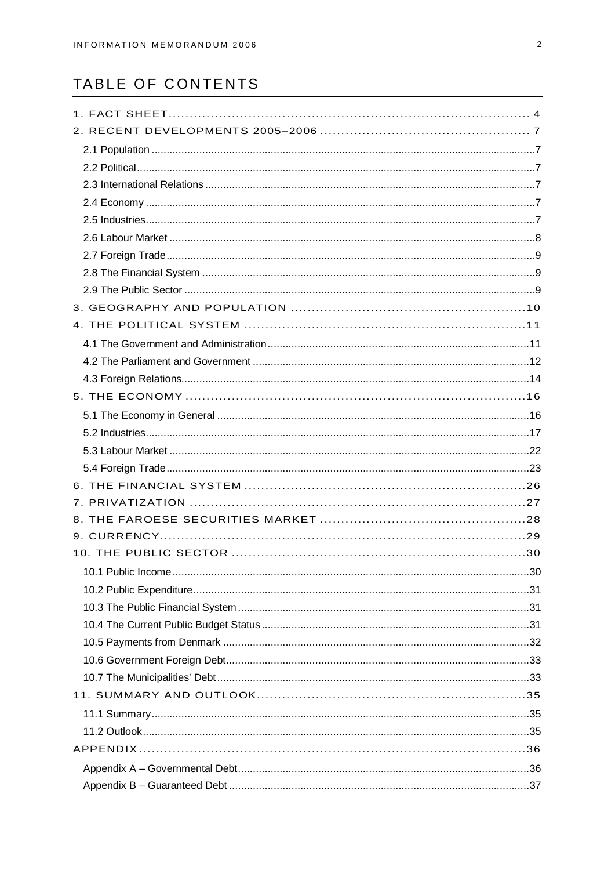# TABLE OF CONTENTS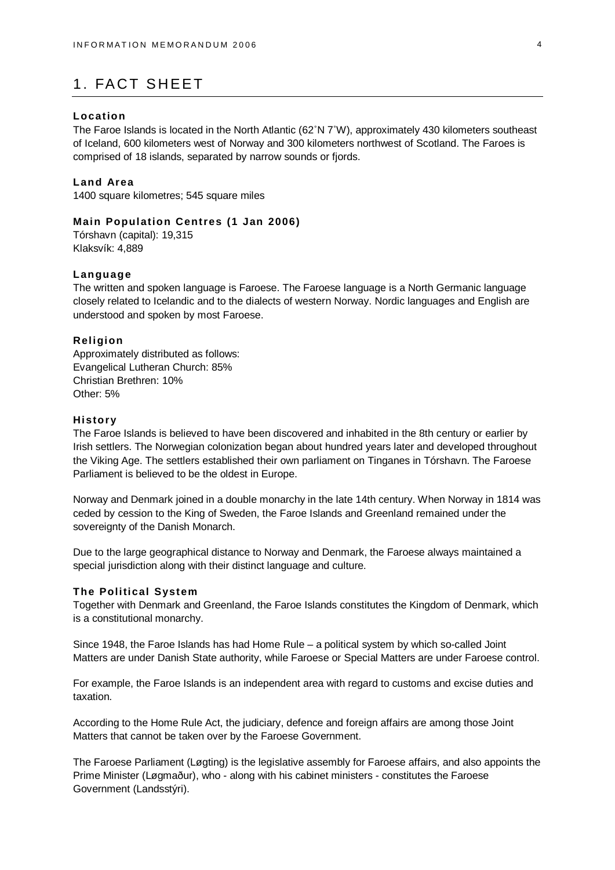# 1. FACT SHEET

#### **Location**

The Faroe Islands is located in the North Atlantic (62°N 7°W), approximately 430 kilometers southeast of Iceland, 600 kilometers west of Norway and 300 kilometers northwest of Scotland. The Faroes is comprised of 18 islands, separated by narrow sounds or fjords.

#### **Land Area**

1400 square kilometres; 545 square miles

### **Main Population Centres (1 Jan 2006)**

Tórshavn (capital): 19,315 Klaksvík: 4,889

#### **Language**

The written and spoken language is Faroese. The Faroese language is a North Germanic language closely related to Icelandic and to the dialects of western Norway. Nordic languages and English are understood and spoken by most Faroese.

#### **Religion**

Approximately distributed as follows: Evangelical Lutheran Church: 85% Christian Brethren: 10% Other: 5%

#### **History**

The Faroe Islands is believed to have been discovered and inhabited in the 8th century or earlier by Irish settlers. The Norwegian colonization began about hundred years later and developed throughout the Viking Age. The settlers established their own parliament on Tinganes in Tórshavn. The Faroese Parliament is believed to be the oldest in Europe.

Norway and Denmark joined in a double monarchy in the late 14th century. When Norway in 1814 was ceded by cession to the King of Sweden, the Faroe Islands and Greenland remained under the sovereignty of the Danish Monarch.

Due to the large geographical distance to Norway and Denmark, the Faroese always maintained a special jurisdiction along with their distinct language and culture.

#### **The Political System**

Together with Denmark and Greenland, the Faroe Islands constitutes the Kingdom of Denmark, which is a constitutional monarchy.

Since 1948, the Faroe Islands has had Home Rule – a political system by which so-called Joint Matters are under Danish State authority, while Faroese or Special Matters are under Faroese control.

For example, the Faroe Islands is an independent area with regard to customs and excise duties and taxation.

According to the Home Rule Act, the judiciary, defence and foreign affairs are among those Joint Matters that cannot be taken over by the Faroese Government.

The Faroese Parliament (Løgting) is the legislative assembly for Faroese affairs, and also appoints the Prime Minister (Løgmaður), who - along with his cabinet ministers - constitutes the Faroese Government (Landsstýri).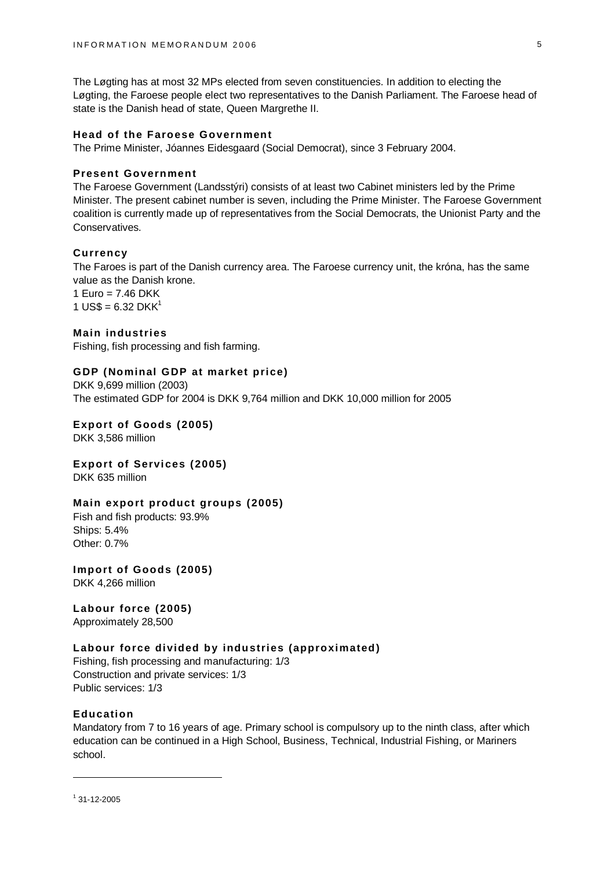The Løgting has at most 32 MPs elected from seven constituencies. In addition to electing the Løgting, the Faroese people elect two representatives to the Danish Parliament. The Faroese head of state is the Danish head of state, Queen Margrethe II.

### **Head of the Faroese Government**

The Prime Minister, Jóannes Eidesgaard (Social Democrat), since 3 February 2004.

### **Present Government**

The Faroese Government (Landsstýri) consists of at least two Cabinet ministers led by the Prime Minister. The present cabinet number is seven, including the Prime Minister. The Faroese Government coalition is currently made up of representatives from the Social Democrats, the Unionist Party and the Conservatives.

#### **Currency**

The Faroes is part of the Danish currency area. The Faroese currency unit, the króna, has the same value as the Danish krone.

1 Euro =  $7.46$  DKK 1 US\$ =  $6.32$  DKK<sup>1</sup>

#### **Main industries**

Fishing, fish processing and fish farming.

#### **GDP (Nominal GDP at market price)**

DKK 9,699 million (2003) The estimated GDP for 2004 is DKK 9,764 million and DKK 10,000 million for 2005

### **Export of Goods (2005)**

DKK 3,586 million

### **Export of Services (2005)**

DKK 635 million

#### **Main export product groups (2005)**

Fish and fish products: 93.9% Ships: 5.4% Other: 0.7%

**Import of Goods (2005)**

DKK 4,266 million

# **Labour force (2005)**

Approximately 28,500

#### **Labour force divided by industries (approximated)**

Fishing, fish processing and manufacturing: 1/3 Construction and private services: 1/3 Public services: 1/3

#### **Education**

Mandatory from 7 to 16 years of age. Primary school is compulsory up to the ninth class, after which education can be continued in a High School, Business, Technical, Industrial Fishing, or Mariners school.

 $1$  31-12-2005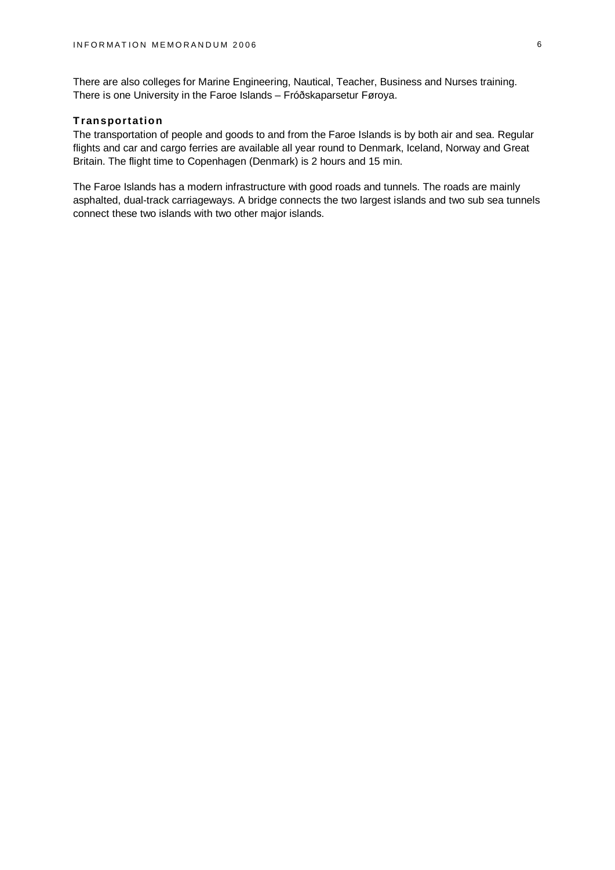There are also colleges for Marine Engineering, Nautical, Teacher, Business and Nurses training. There is one University in the Faroe Islands – Fróðskaparsetur Føroya.

# **Transportation**

The transportation of people and goods to and from the Faroe Islands is by both air and sea. Regular flights and car and cargo ferries are available all year round to Denmark, Iceland, Norway and Great Britain. The flight time to Copenhagen (Denmark) is 2 hours and 15 min.

The Faroe Islands has a modern infrastructure with good roads and tunnels. The roads are mainly asphalted, dual-track carriageways. A bridge connects the two largest islands and two sub sea tunnels connect these two islands with two other major islands.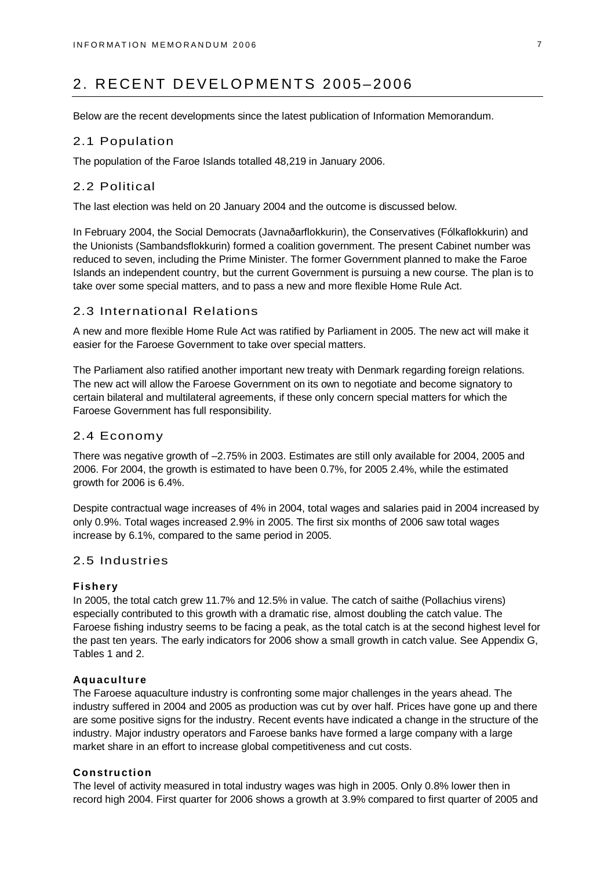# 2. RECENT DEVELOPMENTS 2005–2006

Below are the recent developments since the latest publication of Information Memorandum.

# 2.1 Population

The population of the Faroe Islands totalled 48,219 in January 2006.

# 2.2 Political

The last election was held on 20 January 2004 and the outcome is discussed below.

In February 2004, the Social Democrats (Javnaðarflokkurin), the Conservatives (Fólkaflokkurin) and the Unionists (Sambandsflokkurin) formed a coalition government. The present Cabinet number was reduced to seven, including the Prime Minister. The former Government planned to make the Faroe Islands an independent country, but the current Government is pursuing a new course. The plan is to take over some special matters, and to pass a new and more flexible Home Rule Act.

# 2.3 International Relations

A new and more flexible Home Rule Act was ratified by Parliament in 2005. The new act will make it easier for the Faroese Government to take over special matters.

The Parliament also ratified another important new treaty with Denmark regarding foreign relations. The new act will allow the Faroese Government on its own to negotiate and become signatory to certain bilateral and multilateral agreements, if these only concern special matters for which the Faroese Government has full responsibility.

### 2.4 Economy

There was negative growth of –2.75% in 2003. Estimates are still only available for 2004, 2005 and 2006. For 2004, the growth is estimated to have been 0.7%, for 2005 2.4%, while the estimated growth for 2006 is 6.4%.

Despite contractual wage increases of 4% in 2004, total wages and salaries paid in 2004 increased by only 0.9%. Total wages increased 2.9% in 2005. The first six months of 2006 saw total wages increase by 6.1%, compared to the same period in 2005.

# 2.5 Industries

### **Fishery**

In 2005, the total catch grew 11.7% and 12.5% in value. The catch of saithe (Pollachius virens) especially contributed to this growth with a dramatic rise, almost doubling the catch value. The Faroese fishing industry seems to be facing a peak, as the total catch is at the second highest level for the past ten years. The early indicators for 2006 show a small growth in catch value. See Appendix G, Tables 1 and 2.

#### **Aquaculture**

The Faroese aquaculture industry is confronting some major challenges in the years ahead. The industry suffered in 2004 and 2005 as production was cut by over half. Prices have gone up and there are some positive signs for the industry. Recent events have indicated a change in the structure of the industry. Major industry operators and Faroese banks have formed a large company with a large market share in an effort to increase global competitiveness and cut costs.

#### **Construction**

The level of activity measured in total industry wages was high in 2005. Only 0.8% lower then in record high 2004. First quarter for 2006 shows a growth at 3.9% compared to first quarter of 2005 and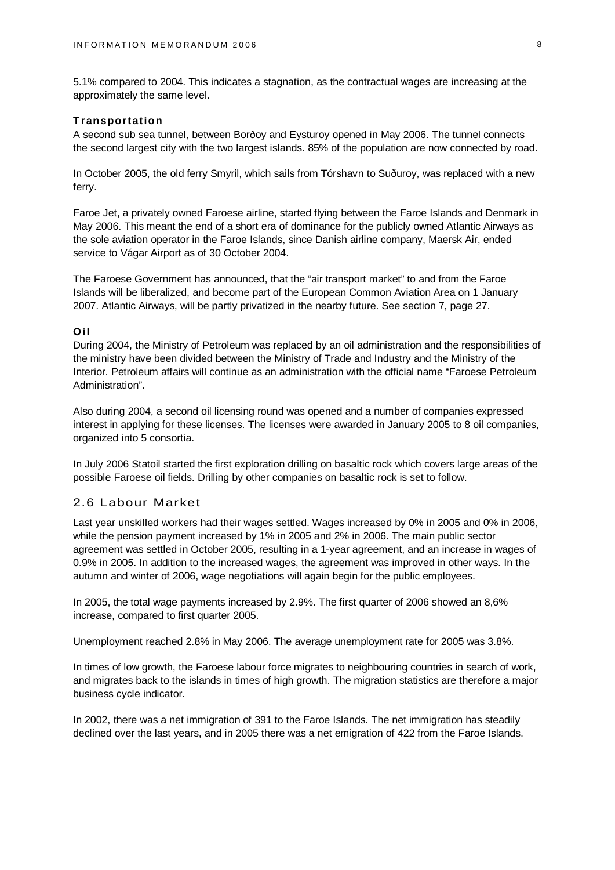5.1% compared to 2004. This indicates a stagnation, as the contractual wages are increasing at the approximately the same level.

#### **Transportation**

A second sub sea tunnel, between Borðoy and Eysturoy opened in May 2006. The tunnel connects the second largest city with the two largest islands. 85% of the population are now connected by road.

In October 2005, the old ferry Smyril, which sails from Tórshavn to Suðuroy, was replaced with a new ferry.

Faroe Jet, a privately owned Faroese airline, started flying between the Faroe Islands and Denmark in May 2006. This meant the end of a short era of dominance for the publicly owned Atlantic Airways as the sole aviation operator in the Faroe Islands, since Danish airline company, Maersk Air, ended service to Vágar Airport as of 30 October 2004.

The Faroese Government has announced, that the "air transport market" to and from the Faroe Islands will be liberalized, and become part of the European Common Aviation Area on 1 January 2007. Atlantic Airways, will be partly privatized in the nearby future. See section 7, page 27.

#### **Oil**

During 2004, the Ministry of Petroleum was replaced by an oil administration and the responsibilities of the ministry have been divided between the Ministry of Trade and Industry and the Ministry of the Interior. Petroleum affairs will continue as an administration with the official name "Faroese Petroleum Administration".

Also during 2004, a second oil licensing round was opened and a number of companies expressed interest in applying for these licenses. The licenses were awarded in January 2005 to 8 oil companies, organized into 5 consortia.

In July 2006 Statoil started the first exploration drilling on basaltic rock which covers large areas of the possible Faroese oil fields. Drilling by other companies on basaltic rock is set to follow.

### 2.6 Labour Market

Last year unskilled workers had their wages settled. Wages increased by 0% in 2005 and 0% in 2006, while the pension payment increased by 1% in 2005 and 2% in 2006. The main public sector agreement was settled in October 2005, resulting in a 1-year agreement, and an increase in wages of 0.9% in 2005. In addition to the increased wages, the agreement was improved in other ways. In the autumn and winter of 2006, wage negotiations will again begin for the public employees.

In 2005, the total wage payments increased by 2.9%. The first quarter of 2006 showed an 8,6% increase, compared to first quarter 2005.

Unemployment reached 2.8% in May 2006. The average unemployment rate for 2005 was 3.8%.

In times of low growth, the Faroese labour force migrates to neighbouring countries in search of work, and migrates back to the islands in times of high growth. The migration statistics are therefore a major business cycle indicator.

In 2002, there was a net immigration of 391 to the Faroe Islands. The net immigration has steadily declined over the last years, and in 2005 there was a net emigration of 422 from the Faroe Islands.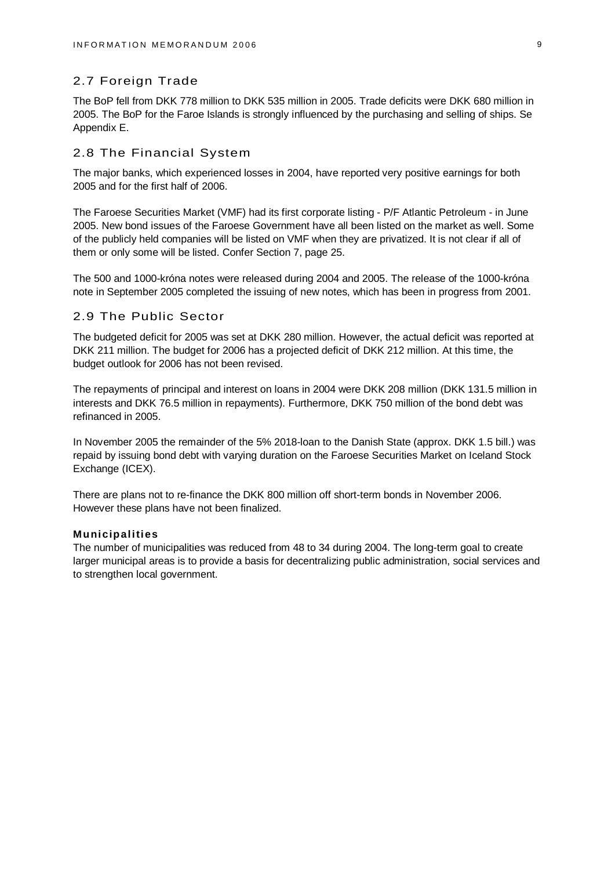# 2.7 Foreign Trade

The BoP fell from DKK 778 million to DKK 535 million in 2005. Trade deficits were DKK 680 million in 2005. The BoP for the Faroe Islands is strongly influenced by the purchasing and selling of ships. Se Appendix E.

### 2.8 The Financial System

The major banks, which experienced losses in 2004, have reported very positive earnings for both 2005 and for the first half of 2006.

The Faroese Securities Market (VMF) had its first corporate listing - P/F Atlantic Petroleum - in June 2005. New bond issues of the Faroese Government have all been listed on the market as well. Some of the publicly held companies will be listed on VMF when they are privatized. It is not clear if all of them or only some will be listed. Confer Section 7, page 25.

The 500 and 1000-króna notes were released during 2004 and 2005. The release of the 1000-króna note in September 2005 completed the issuing of new notes, which has been in progress from 2001.

### 2.9 The Public Sector

The budgeted deficit for 2005 was set at DKK 280 million. However, the actual deficit was reported at DKK 211 million. The budget for 2006 has a projected deficit of DKK 212 million. At this time, the budget outlook for 2006 has not been revised.

The repayments of principal and interest on loans in 2004 were DKK 208 million (DKK 131.5 million in interests and DKK 76.5 million in repayments). Furthermore, DKK 750 million of the bond debt was refinanced in 2005.

In November 2005 the remainder of the 5% 2018-loan to the Danish State (approx. DKK 1.5 bill.) was repaid by issuing bond debt with varying duration on the Faroese Securities Market on Iceland Stock Exchange (ICEX).

There are plans not to re-finance the DKK 800 million off short-term bonds in November 2006. However these plans have not been finalized.

#### **Municipalities**

The number of municipalities was reduced from 48 to 34 during 2004. The long-term goal to create larger municipal areas is to provide a basis for decentralizing public administration, social services and to strengthen local government.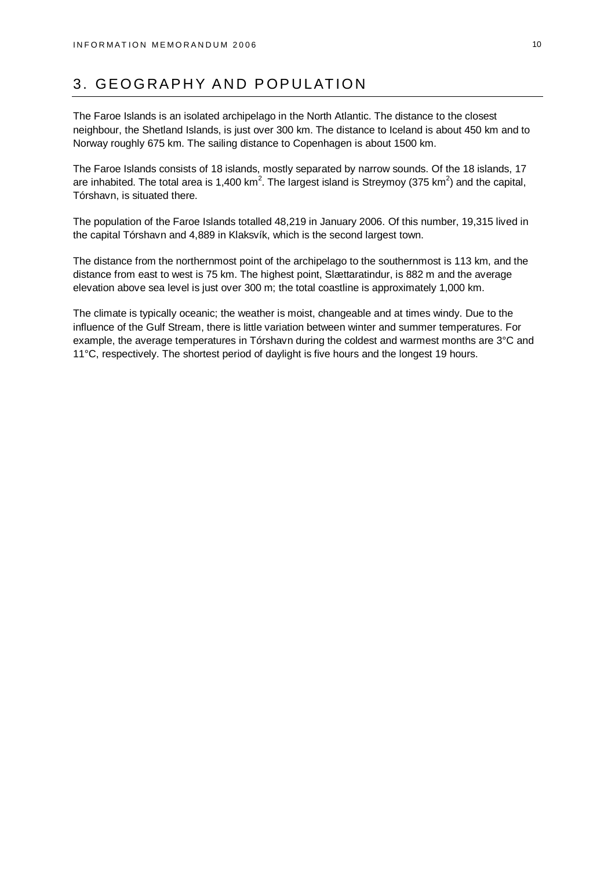# 3. GEOGRAPHY AND POPULATION

The Faroe Islands is an isolated archipelago in the North Atlantic. The distance to the closest neighbour, the Shetland Islands, is just over 300 km. The distance to Iceland is about 450 km and to Norway roughly 675 km. The sailing distance to Copenhagen is about 1500 km.

The Faroe Islands consists of 18 islands, mostly separated by narrow sounds. Of the 18 islands, 17 are inhabited. The total area is 1,400 km<sup>2</sup>. The largest island is Streymoy (375 km<sup>2</sup>) and the capital, Tórshavn, is situated there.

The population of the Faroe Islands totalled 48,219 in January 2006. Of this number, 19,315 lived in the capital Tórshavn and 4,889 in Klaksvík, which is the second largest town.

The distance from the northernmost point of the archipelago to the southernmost is 113 km, and the distance from east to west is 75 km. The highest point, Slættaratindur, is 882 m and the average elevation above sea level is just over 300 m; the total coastline is approximately 1,000 km.

The climate is typically oceanic; the weather is moist, changeable and at times windy. Due to the influence of the Gulf Stream, there is little variation between winter and summer temperatures. For example, the average temperatures in Tórshavn during the coldest and warmest months are 3°C and 11°C, respectively. The shortest period of daylight is five hours and the longest 19 hours.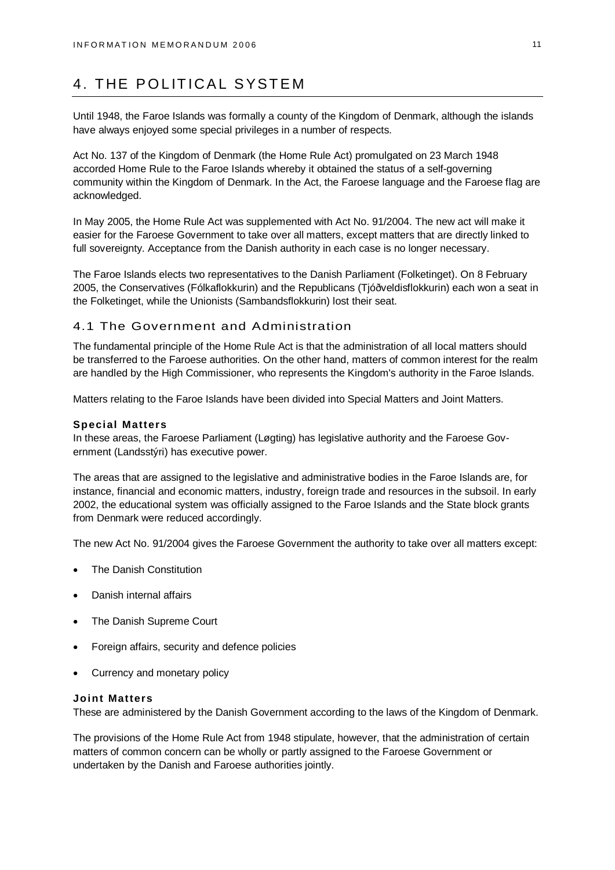# 4. THE POLITICAL SYSTEM

Until 1948, the Faroe Islands was formally a county of the Kingdom of Denmark, although the islands have always enjoyed some special privileges in a number of respects.

Act No. 137 of the Kingdom of Denmark (the Home Rule Act) promulgated on 23 March 1948 accorded Home Rule to the Faroe Islands whereby it obtained the status of a self-governing community within the Kingdom of Denmark. In the Act, the Faroese language and the Faroese flag are acknowledged.

In May 2005, the Home Rule Act was supplemented with Act No. 91/2004. The new act will make it easier for the Faroese Government to take over all matters, except matters that are directly linked to full sovereignty. Acceptance from the Danish authority in each case is no longer necessary.

The Faroe Islands elects two representatives to the Danish Parliament (Folketinget). On 8 February 2005, the Conservatives (Fólkaflokkurin) and the Republicans (Tjóðveldisflokkurin) each won a seat in the Folketinget, while the Unionists (Sambandsflokkurin) lost their seat.

### 4.1 The Government and Administration

The fundamental principle of the Home Rule Act is that the administration of all local matters should be transferred to the Faroese authorities. On the other hand, matters of common interest for the realm are handled by the High Commissioner, who represents the Kingdom's authority in the Faroe Islands.

Matters relating to the Faroe Islands have been divided into Special Matters and Joint Matters.

#### **Special Matters**

In these areas, the Faroese Parliament (Løgting) has legislative authority and the Faroese Government (Landsstýri) has executive power.

The areas that are assigned to the legislative and administrative bodies in the Faroe Islands are, for instance, financial and economic matters, industry, foreign trade and resources in the subsoil. In early 2002, the educational system was officially assigned to the Faroe Islands and the State block grants from Denmark were reduced accordingly.

The new Act No. 91/2004 gives the Faroese Government the authority to take over all matters except:

- The Danish Constitution
- Danish internal affairs
- The Danish Supreme Court
- Foreign affairs, security and defence policies
- Currency and monetary policy

#### **Joint Matters**

These are administered by the Danish Government according to the laws of the Kingdom of Denmark.

The provisions of the Home Rule Act from 1948 stipulate, however, that the administration of certain matters of common concern can be wholly or partly assigned to the Faroese Government or undertaken by the Danish and Faroese authorities jointly.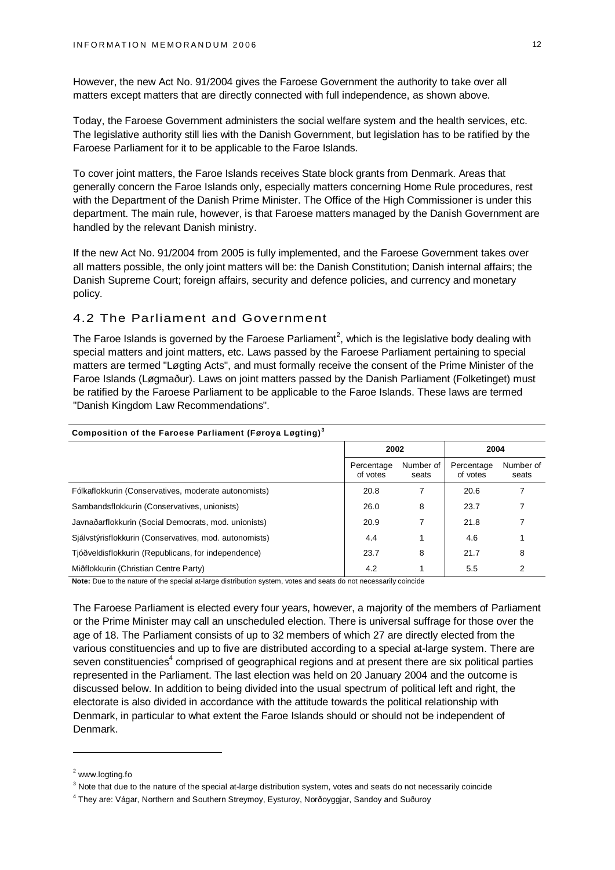However, the new Act No. 91/2004 gives the Faroese Government the authority to take over all matters except matters that are directly connected with full independence, as shown above.

Today, the Faroese Government administers the social welfare system and the health services, etc. The legislative authority still lies with the Danish Government, but legislation has to be ratified by the Faroese Parliament for it to be applicable to the Faroe Islands.

To cover joint matters, the Faroe Islands receives State block grants from Denmark. Areas that generally concern the Faroe Islands only, especially matters concerning Home Rule procedures, rest with the Department of the Danish Prime Minister. The Office of the High Commissioner is under this department. The main rule, however, is that Faroese matters managed by the Danish Government are handled by the relevant Danish ministry.

If the new Act No. 91/2004 from 2005 is fully implemented, and the Faroese Government takes over all matters possible, the only joint matters will be: the Danish Constitution; Danish internal affairs; the Danish Supreme Court; foreign affairs, security and defence policies, and currency and monetary policy.

# 4.2 The Parliament and Government

The Faroe Islands is governed by the Faroese Parliament<sup>2</sup>, which is the legislative body dealing with special matters and joint matters, etc. Laws passed by the Faroese Parliament pertaining to special matters are termed "Løgting Acts", and must formally receive the consent of the Prime Minister of the Faroe Islands (Løgmaður). Laws on joint matters passed by the Danish Parliament (Folketinget) must be ratified by the Faroese Parliament to be applicable to the Faroe Islands. These laws are termed "Danish Kingdom Law Recommendations".

| Composition of the Faroese Parliament (Føroya Løgting) <sup>3</sup> |                        |                    |                        |                    |  |  |  |  |  |
|---------------------------------------------------------------------|------------------------|--------------------|------------------------|--------------------|--|--|--|--|--|
|                                                                     | 2002                   |                    | 2004                   |                    |  |  |  |  |  |
|                                                                     | Percentage<br>of votes | Number of<br>seats | Percentage<br>of votes | Number of<br>seats |  |  |  |  |  |
| Fólkaflokkurin (Conservatives, moderate autonomists)                | 20.8                   | 7                  | 20.6                   |                    |  |  |  |  |  |
| Sambandsflokkurin (Conservatives, unionists)                        | 26.0                   | 8                  | 23.7                   |                    |  |  |  |  |  |
| Javnaðarflokkurin (Social Democrats, mod. unionists)                | 20.9                   |                    | 21.8                   |                    |  |  |  |  |  |
| Siálystýrisflokkurin (Conservatives, mod. autonomists)              | 4.4                    |                    | 4.6                    |                    |  |  |  |  |  |
| Tjóðveldisflokkurin (Republicans, for independence)                 | 23.7                   | 8                  | 21.7                   | 8                  |  |  |  |  |  |
| Miðflokkurin (Christian Centre Party)                               | 4.2                    |                    | 5.5                    | 2                  |  |  |  |  |  |

**Note:** Due to the nature of the special at-large distribution system, votes and seats do not necessarily coincide

The Faroese Parliament is elected every four years, however, a majority of the members of Parliament or the Prime Minister may call an unscheduled election. There is universal suffrage for those over the age of 18. The Parliament consists of up to 32 members of which 27 are directly elected from the various constituencies and up to five are distributed according to a special at-large system. There are seven constituencies<sup>4</sup> comprised of geographical regions and at present there are six political parties represented in the Parliament. The last election was held on 20 January 2004 and the outcome is discussed below. In addition to being divided into the usual spectrum of political left and right, the electorate is also divided in accordance with the attitude towards the political relationship with Denmark, in particular to what extent the Faroe Islands should or should not be independent of Denmark.

<sup>&</sup>lt;sup>2</sup> [www.logting.fo](http://www.logting.fo)

 $3$  Note that due to the nature of the special at-large distribution system, votes and seats do not necessarily coincide

<sup>4</sup> They are: Vágar, Northern and Southern Streymoy, Eysturoy, Norðoyggjar, Sandoy and Suðuroy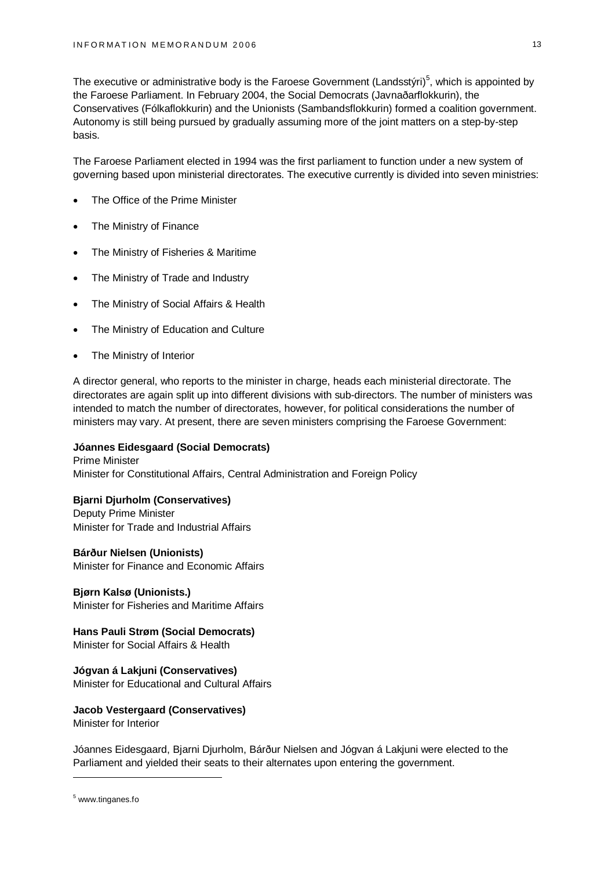The executive or administrative body is the Faroese Government (Landsstýri)<sup>5</sup>, which is appointed by the Faroese Parliament. In February 2004, the Social Democrats (Javnaðarflokkurin), the Conservatives (Fólkaflokkurin) and the Unionists (Sambandsflokkurin) formed a coalition government. Autonomy is still being pursued by gradually assuming more of the joint matters on a step-by-step basis.

The Faroese Parliament elected in 1994 was the first parliament to function under a new system of governing based upon ministerial directorates. The executive currently is divided into seven ministries:

- The Office of the Prime Minister
- The Ministry of Finance
- The Ministry of Fisheries & Maritime
- The Ministry of Trade and Industry
- The Ministry of Social Affairs & Health
- The Ministry of Education and Culture
- The Ministry of Interior

A director general, who reports to the minister in charge, heads each ministerial directorate. The directorates are again split up into different divisions with sub-directors. The number of ministers was intended to match the number of directorates, however, for political considerations the number of ministers may vary. At present, there are seven ministers comprising the Faroese Government:

# **Jóannes Eidesgaard (Social Democrats)**

Prime Minister Minister for Constitutional Affairs, Central Administration and Foreign Policy

# **Bjarni Djurholm (Conservatives)**

Deputy Prime Minister Minister for Trade and Industrial Affairs

### **Bárður Nielsen (Unionists)** Minister for Finance and Economic Affairs

**Bjørn Kalsø (Unionists.)** Minister for Fisheries and Maritime Affairs

**Hans Pauli Strøm (Social Democrats)** Minister for Social Affairs & Health

# **Jógvan á Lakjuni (Conservatives)**

Minister for Educational and Cultural Affairs

# **Jacob Vestergaard (Conservatives)**

Minister for Interior

Jóannes Eidesgaard, Bjarni Djurholm, Bárður Nielsen and Jógvan á Lakjuni were elected to the Parliament and yielded their seats to their alternates upon entering the government.

<sup>&</sup>lt;sup>5</sup> [www.tinganes.fo](http://www.tinganes.fo)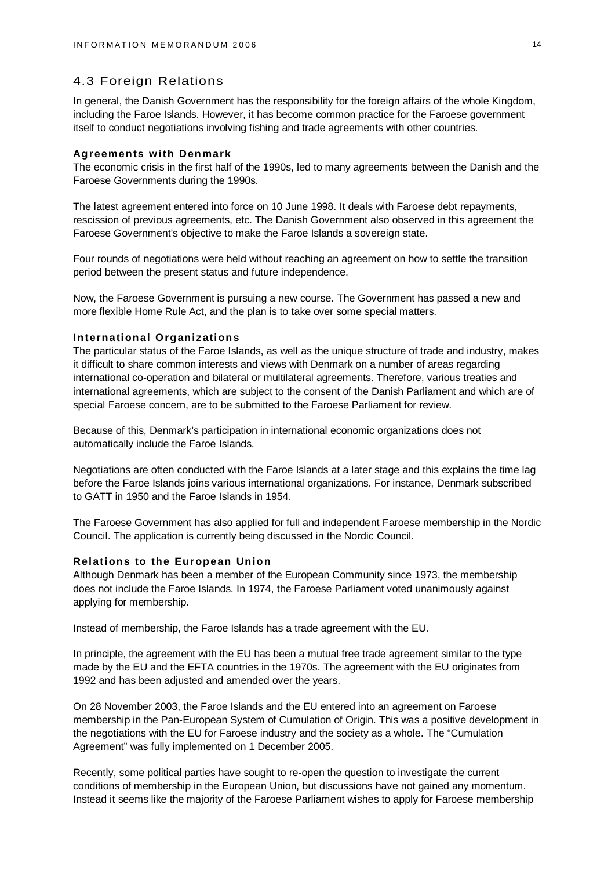### 4.3 Foreign Relations

In general, the Danish Government has the responsibility for the foreign affairs of the whole Kingdom, including the Faroe Islands. However, it has become common practice for the Faroese government itself to conduct negotiations involving fishing and trade agreements with other countries.

#### **Agreements with Denmark**

The economic crisis in the first half of the 1990s, led to many agreements between the Danish and the Faroese Governments during the 1990s.

The latest agreement entered into force on 10 June 1998. It deals with Faroese debt repayments, rescission of previous agreements, etc. The Danish Government also observed in this agreement the Faroese Government's objective to make the Faroe Islands a sovereign state.

Four rounds of negotiations were held without reaching an agreement on how to settle the transition period between the present status and future independence.

Now, the Faroese Government is pursuing a new course. The Government has passed a new and more flexible Home Rule Act, and the plan is to take over some special matters.

#### **International Organizations**

The particular status of the Faroe Islands, as well as the unique structure of trade and industry, makes it difficult to share common interests and views with Denmark on a number of areas regarding international co-operation and bilateral or multilateral agreements. Therefore, various treaties and international agreements, which are subject to the consent of the Danish Parliament and which are of special Faroese concern, are to be submitted to the Faroese Parliament for review.

Because of this, Denmark's participation in international economic organizations does not automatically include the Faroe Islands.

Negotiations are often conducted with the Faroe Islands at a later stage and this explains the time lag before the Faroe Islands joins various international organizations. For instance, Denmark subscribed to GATT in 1950 and the Faroe Islands in 1954.

The Faroese Government has also applied for full and independent Faroese membership in the Nordic Council. The application is currently being discussed in the Nordic Council.

#### **Relations to the European Union**

Although Denmark has been a member of the European Community since 1973, the membership does not include the Faroe Islands. In 1974, the Faroese Parliament voted unanimously against applying for membership.

Instead of membership, the Faroe Islands has a trade agreement with the EU.

In principle, the agreement with the EU has been a mutual free trade agreement similar to the type made by the EU and the EFTA countries in the 1970s. The agreement with the EU originates from 1992 and has been adjusted and amended over the years.

On 28 November 2003, the Faroe Islands and the EU entered into an agreement on Faroese membership in the Pan-European System of Cumulation of Origin. This was a positive development in the negotiations with the EU for Faroese industry and the society as a whole. The "Cumulation Agreement" was fully implemented on 1 December 2005.

Recently, some political parties have sought to re-open the question to investigate the current conditions of membership in the European Union, but discussions have not gained any momentum. Instead it seems like the majority of the Faroese Parliament wishes to apply for Faroese membership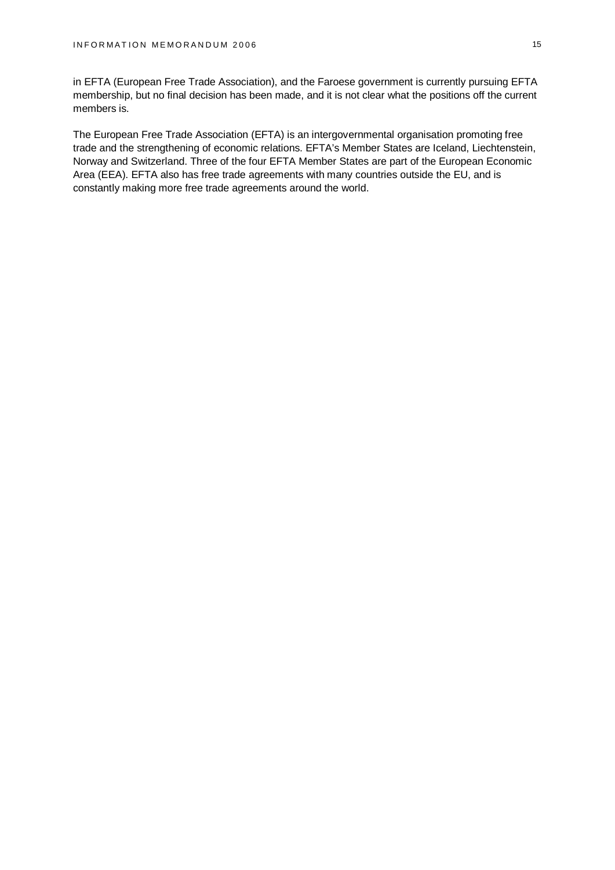in EFTA (European Free Trade Association), and the Faroese government is currently pursuing EFTA membership, but no final decision has been made, and it is not clear what the positions off the current members is.

The European Free Trade Association (EFTA) is an intergovernmental organisation promoting free trade and the strengthening of economic relations. EFTA's Member States are Iceland, Liechtenstein, Norway and Switzerland. Three of the four EFTA Member States are part of the European Economic Area (EEA). EFTA also has free trade agreements with many countries outside the EU, and is constantly making more free trade agreements around the world.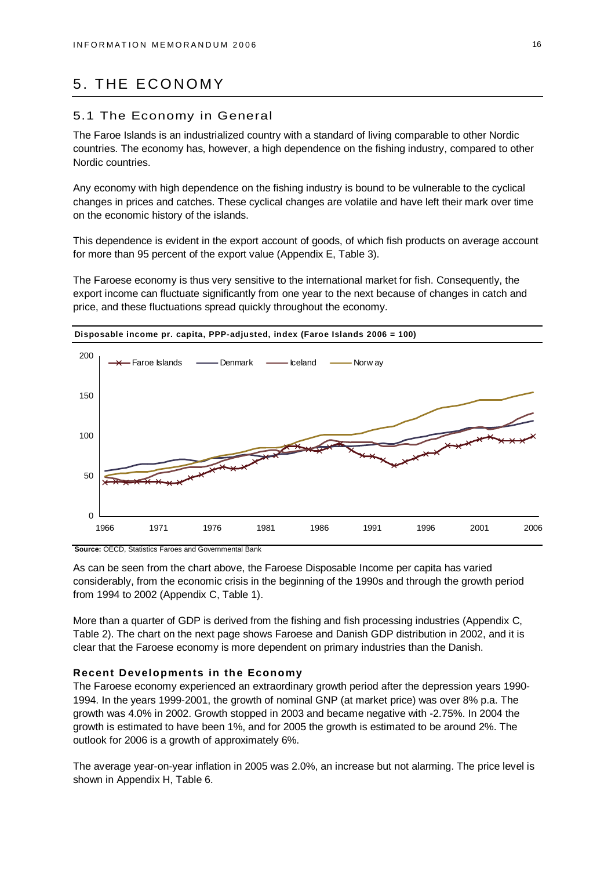# 5. THE ECONOMY

### 5.1 The Economy in General

The Faroe Islands is an industrialized country with a standard of living comparable to other Nordic countries. The economy has, however, a high dependence on the fishing industry, compared to other Nordic countries.

Any economy with high dependence on the fishing industry is bound to be vulnerable to the cyclical changes in prices and catches. These cyclical changes are volatile and have left their mark over time on the economic history of the islands.

This dependence is evident in the export account of goods, of which fish products on average account for more than 95 percent of the export value (Appendix E, Table 3).

The Faroese economy is thus very sensitive to the international market for fish. Consequently, the export income can fluctuate significantly from one year to the next because of changes in catch and price, and these fluctuations spread quickly throughout the economy.



**Disposable income pr. capita, PPP-adjusted, index (Faroe Islands 2006 = 100)**

**Source:** OECD, Statistics Faroes and Governmental Bank

As can be seen from the chart above, the Faroese Disposable Income per capita has varied considerably, from the economic crisis in the beginning of the 1990s and through the growth period from 1994 to 2002 (Appendix C, Table 1).

More than a quarter of GDP is derived from the fishing and fish processing industries (Appendix C, Table 2). The chart on the next page shows Faroese and Danish GDP distribution in 2002, and it is clear that the Faroese economy is more dependent on primary industries than the Danish.

#### **Recent Developments in the Economy**

The Faroese economy experienced an extraordinary growth period after the depression years 1990- 1994. In the years 1999-2001, the growth of nominal GNP (at market price) was over 8% p.a. The growth was 4.0% in 2002. Growth stopped in 2003 and became negative with -2.75%. In 2004 the growth is estimated to have been 1%, and for 2005 the growth is estimated to be around 2%. The outlook for 2006 is a growth of approximately 6%.

The average year-on-year inflation in 2005 was 2.0%, an increase but not alarming. The price level is shown in Appendix H, Table 6.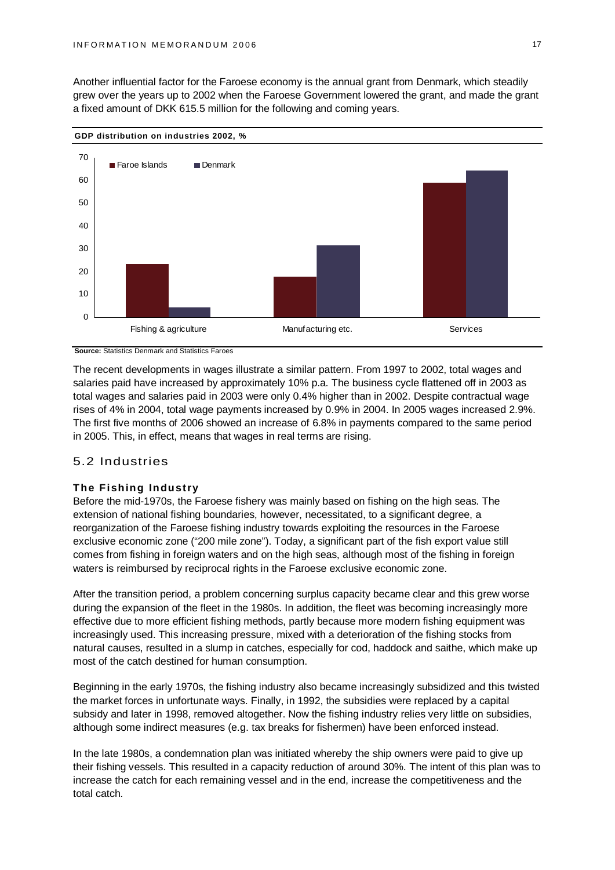Another influential factor for the Faroese economy is the annual grant from Denmark, which steadily grew over the years up to 2002 when the Faroese Government lowered the grant, and made the grant a fixed amount of DKK 615.5 million for the following and coming years.



**Source:** Statistics Denmark and Statistics Faroes

The recent developments in wages illustrate a similar pattern. From 1997 to 2002, total wages and salaries paid have increased by approximately 10% p.a. The business cycle flattened off in 2003 as total wages and salaries paid in 2003 were only 0.4% higher than in 2002. Despite contractual wage rises of 4% in 2004, total wage payments increased by 0.9% in 2004. In 2005 wages increased 2.9%. The first five months of 2006 showed an increase of 6.8% in payments compared to the same period in 2005. This, in effect, means that wages in real terms are rising.

# 5.2 Industries

#### **The Fishing Industry**

Before the mid-1970s, the Faroese fishery was mainly based on fishing on the high seas. The extension of national fishing boundaries, however, necessitated, to a significant degree, a reorganization of the Faroese fishing industry towards exploiting the resources in the Faroese exclusive economic zone ("200 mile zone"). Today, a significant part of the fish export value still comes from fishing in foreign waters and on the high seas, although most of the fishing in foreign waters is reimbursed by reciprocal rights in the Faroese exclusive economic zone.

After the transition period, a problem concerning surplus capacity became clear and this grew worse during the expansion of the fleet in the 1980s. In addition, the fleet was becoming increasingly more effective due to more efficient fishing methods, partly because more modern fishing equipment was increasingly used. This increasing pressure, mixed with a deterioration of the fishing stocks from natural causes, resulted in a slump in catches, especially for cod, haddock and saithe, which make up most of the catch destined for human consumption.

Beginning in the early 1970s, the fishing industry also became increasingly subsidized and this twisted the market forces in unfortunate ways. Finally, in 1992, the subsidies were replaced by a capital subsidy and later in 1998, removed altogether. Now the fishing industry relies very little on subsidies, although some indirect measures (e.g. tax breaks for fishermen) have been enforced instead.

In the late 1980s, a condemnation plan was initiated whereby the ship owners were paid to give up their fishing vessels. This resulted in a capacity reduction of around 30%. The intent of this plan was to increase the catch for each remaining vessel and in the end, increase the competitiveness and the total catch.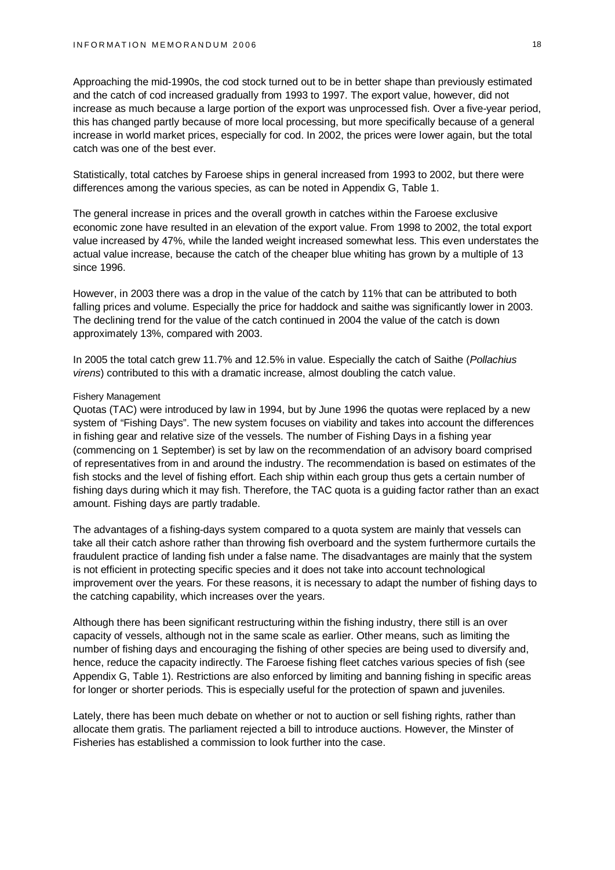Approaching the mid-1990s, the cod stock turned out to be in better shape than previously estimated and the catch of cod increased gradually from 1993 to 1997. The export value, however, did not increase as much because a large portion of the export was unprocessed fish. Over a five-year period, this has changed partly because of more local processing, but more specifically because of a general increase in world market prices, especially for cod. In 2002, the prices were lower again, but the total catch was one of the best ever.

Statistically, total catches by Faroese ships in general increased from 1993 to 2002, but there were differences among the various species, as can be noted in Appendix G, Table 1.

The general increase in prices and the overall growth in catches within the Faroese exclusive economic zone have resulted in an elevation of the export value. From 1998 to 2002, the total export value increased by 47%, while the landed weight increased somewhat less. This even understates the actual value increase, because the catch of the cheaper blue whiting has grown by a multiple of 13 since 1996.

However, in 2003 there was a drop in the value of the catch by 11% that can be attributed to both falling prices and volume. Especially the price for haddock and saithe was significantly lower in 2003. The declining trend for the value of the catch continued in 2004 the value of the catch is down approximately 13%, compared with 2003.

In 2005 the total catch grew 11.7% and 12.5% in value. Especially the catch of Saithe (*Pollachius virens*) contributed to this with a dramatic increase, almost doubling the catch value.

#### Fishery Management

Quotas (TAC) were introduced by law in 1994, but by June 1996 the quotas were replaced by a new system of "Fishing Days". The new system focuses on viability and takes into account the differences in fishing gear and relative size of the vessels. The number of Fishing Days in a fishing year (commencing on 1 September) is set by law on the recommendation of an advisory board comprised of representatives from in and around the industry. The recommendation is based on estimates of the fish stocks and the level of fishing effort. Each ship within each group thus gets a certain number of fishing days during which it may fish. Therefore, the TAC quota is a guiding factor rather than an exact amount. Fishing days are partly tradable.

The advantages of a fishing-days system compared to a quota system are mainly that vessels can take all their catch ashore rather than throwing fish overboard and the system furthermore curtails the fraudulent practice of landing fish under a false name. The disadvantages are mainly that the system is not efficient in protecting specific species and it does not take into account technological improvement over the years. For these reasons, it is necessary to adapt the number of fishing days to the catching capability, which increases over the years.

Although there has been significant restructuring within the fishing industry, there still is an over capacity of vessels, although not in the same scale as earlier. Other means, such as limiting the number of fishing days and encouraging the fishing of other species are being used to diversify and, hence, reduce the capacity indirectly. The Faroese fishing fleet catches various species of fish (see Appendix G, Table 1). Restrictions are also enforced by limiting and banning fishing in specific areas for longer or shorter periods. This is especially useful for the protection of spawn and juveniles.

Lately, there has been much debate on whether or not to auction or sell fishing rights, rather than allocate them gratis. The parliament rejected a bill to introduce auctions. However, the Minster of Fisheries has established a commission to look further into the case.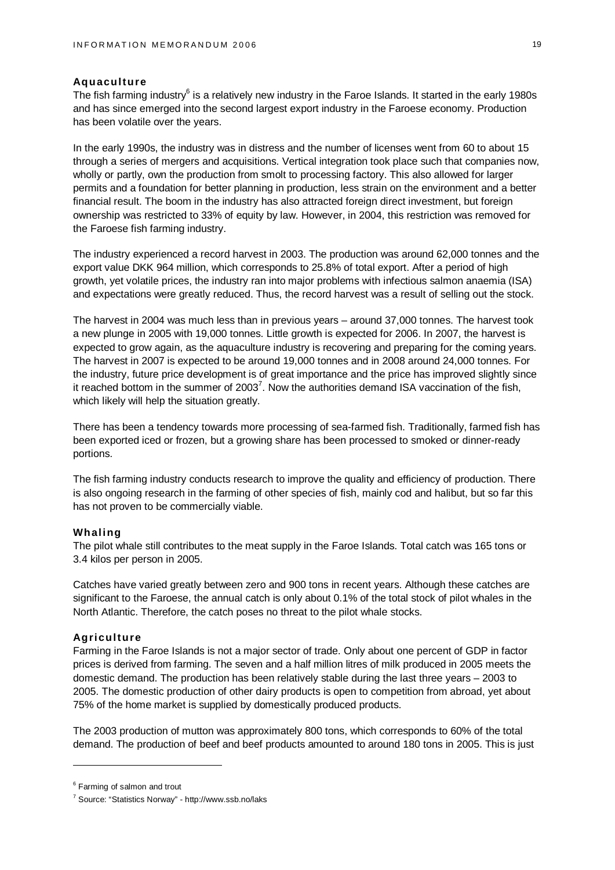#### **Aquaculture**

The fish farming industry $^6$  is a relatively new industry in the Faroe Islands. It started in the early 1980s and has since emerged into the second largest export industry in the Faroese economy. Production has been volatile over the years.

In the early 1990s, the industry was in distress and the number of licenses went from 60 to about 15 through a series of mergers and acquisitions. Vertical integration took place such that companies now, wholly or partly, own the production from smolt to processing factory. This also allowed for larger permits and a foundation for better planning in production, less strain on the environment and a better financial result. The boom in the industry has also attracted foreign direct investment, but foreign ownership was restricted to 33% of equity by law. However, in 2004, this restriction was removed for the Faroese fish farming industry.

The industry experienced a record harvest in 2003. The production was around 62,000 tonnes and the export value DKK 964 million, which corresponds to 25.8% of total export. After a period of high growth, yet volatile prices, the industry ran into major problems with infectious salmon anaemia (ISA) and expectations were greatly reduced. Thus, the record harvest was a result of selling out the stock.

The harvest in 2004 was much less than in previous years – around 37,000 tonnes. The harvest took a new plunge in 2005 with 19,000 tonnes. Little growth is expected for 2006. In 2007, the harvest is expected to grow again, as the aquaculture industry is recovering and preparing for the coming years. The harvest in 2007 is expected to be around 19,000 tonnes and in 2008 around 24,000 tonnes. For the industry, future price development is of great importance and the price has improved slightly since it reached bottom in the summer of 2003<sup>7</sup>. Now the authorities demand ISA vaccination of the fish, which likely will help the situation greatly.

There has been a tendency towards more processing of sea-farmed fish. Traditionally, farmed fish has been exported iced or frozen, but a growing share has been processed to smoked or dinner-ready portions.

The fish farming industry conducts research to improve the quality and efficiency of production. There is also ongoing research in the farming of other species of fish, mainly cod and halibut, but so far this has not proven to be commercially viable.

#### **Whaling**

The pilot whale still contributes to the meat supply in the Faroe Islands. Total catch was 165 tons or 3.4 kilos per person in 2005.

Catches have varied greatly between zero and 900 tons in recent years. Although these catches are significant to the Faroese, the annual catch is only about 0.1% of the total stock of pilot whales in the North Atlantic. Therefore, the catch poses no threat to the pilot whale stocks.

#### **Agriculture**

Farming in the Faroe Islands is not a major sector of trade. Only about one percent of GDP in factor prices is derived from farming. The seven and a half million litres of milk produced in 2005 meets the domestic demand. The production has been relatively stable during the last three years – 2003 to 2005. The domestic production of other dairy products is open to competition from abroad, yet about 75% of the home market is supplied by domestically produced products.

The 2003 production of mutton was approximately 800 tons, which corresponds to 60% of the total demand. The production of beef and beef products amounted to around 180 tons in 2005. This is just

<sup>&</sup>lt;sup>6</sup> Farming of salmon and trout

<sup>&</sup>lt;sup>7</sup> Source: "Statistics Norway" -<http://www.ssb.no/laks>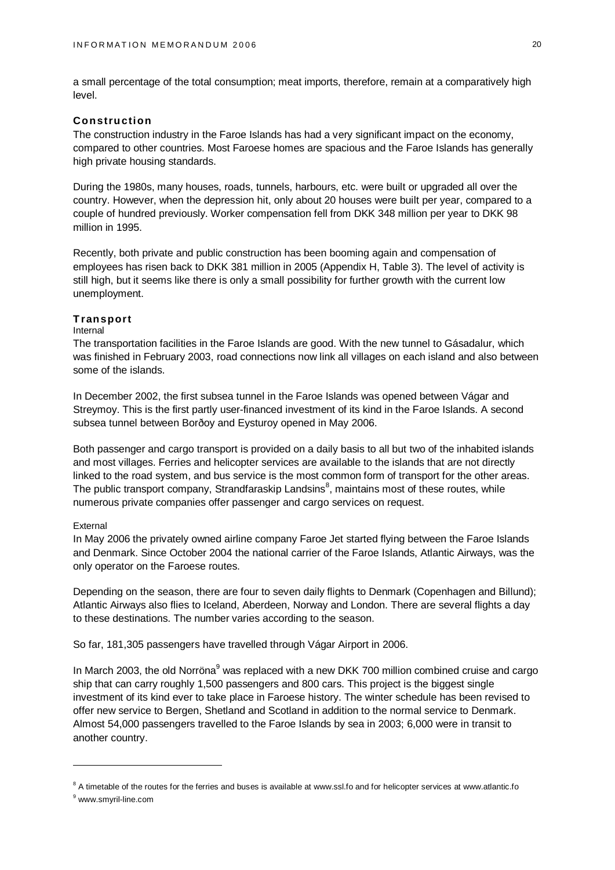a small percentage of the total consumption; meat imports, therefore, remain at a comparatively high level.

#### **Construction**

The construction industry in the Faroe Islands has had a very significant impact on the economy, compared to other countries. Most Faroese homes are spacious and the Faroe Islands has generally high private housing standards.

During the 1980s, many houses, roads, tunnels, harbours, etc. were built or upgraded all over the country. However, when the depression hit, only about 20 houses were built per year, compared to a couple of hundred previously. Worker compensation fell from DKK 348 million per year to DKK 98 million in 1995.

Recently, both private and public construction has been booming again and compensation of employees has risen back to DKK 381 million in 2005 (Appendix H, Table 3). The level of activity is still high, but it seems like there is only a small possibility for further growth with the current low unemployment.

#### **Transport**

#### Internal

The transportation facilities in the Faroe Islands are good. With the new tunnel to Gásadalur, which was finished in February 2003, road connections now link all villages on each island and also between some of the islands.

In December 2002, the first subsea tunnel in the Faroe Islands was opened between Vágar and Streymoy. This is the first partly user-financed investment of its kind in the Faroe Islands. A second subsea tunnel between Borðoy and Eysturoy opened in May 2006.

Both passenger and cargo transport is provided on a daily basis to all but two of the inhabited islands and most villages. Ferries and helicopter services are available to the islands that are not directly linked to the road system, and bus service is the most common form of transport for the other areas. The public transport company, Strandfaraskip Landsins<sup>8</sup>, maintains most of these routes, while numerous private companies offer passenger and cargo services on request.

#### External

In May 2006 the privately owned airline company Faroe Jet started flying between the Faroe Islands and Denmark. Since October 2004 the national carrier of the Faroe Islands, Atlantic Airways, was the only operator on the Faroese routes.

Depending on the season, there are four to seven daily flights to Denmark (Copenhagen and Billund); Atlantic Airways also flies to Iceland, Aberdeen, Norway and London. There are several flights a day to these destinations. The number varies according to the season.

So far, 181,305 passengers have travelled through Vágar Airport in 2006.

In March 2003, the old Norröna<sup>9</sup> was replaced with a new DKK 700 million combined cruise and cargo ship that can carry roughly 1,500 passengers and 800 cars. This project is the biggest single investment of its kind ever to take place in Faroese history. The winter schedule has been revised to offer new service to Bergen, Shetland and Scotland in addition to the normal service to Denmark. Almost 54,000 passengers travelled to the Faroe Islands by sea in 2003; 6,000 were in transit to another country.

 $8$  A timetable of the routes for the ferries and buses is available at [www.ssl.fo](http://www.ssl.fo) and for helicopter services at [www.atlantic.fo](http://www.atlantic.fo)

<sup>&</sup>lt;sup>9</sup> [www.smyril-line.com](http://www.smyril-line.com)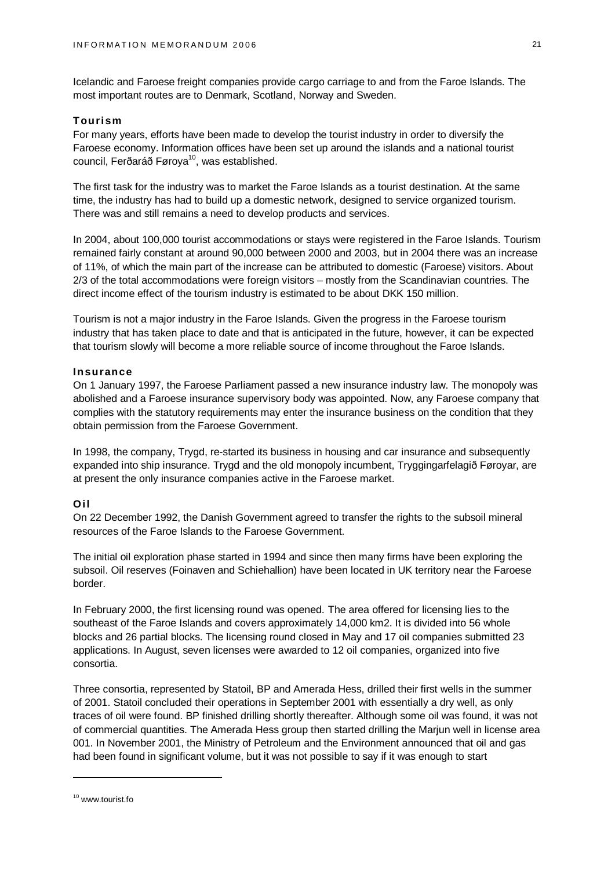Icelandic and Faroese freight companies provide cargo carriage to and from the Faroe Islands. The most important routes are to Denmark, Scotland, Norway and Sweden.

#### **Tourism**

For many years, efforts have been made to develop the tourist industry in order to diversify the Faroese economy. Information offices have been set up around the islands and a national tourist council, Ferðaráð Føroya<sup>10</sup>, was established.

The first task for the industry was to market the Faroe Islands as a tourist destination. At the same time, the industry has had to build up a domestic network, designed to service organized tourism. There was and still remains a need to develop products and services.

In 2004, about 100,000 tourist accommodations or stays were registered in the Faroe Islands. Tourism remained fairly constant at around 90,000 between 2000 and 2003, but in 2004 there was an increase of 11%, of which the main part of the increase can be attributed to domestic (Faroese) visitors. About 2/3 of the total accommodations were foreign visitors – mostly from the Scandinavian countries. The direct income effect of the tourism industry is estimated to be about DKK 150 million.

Tourism is not a major industry in the Faroe Islands. Given the progress in the Faroese tourism industry that has taken place to date and that is anticipated in the future, however, it can be expected that tourism slowly will become a more reliable source of income throughout the Faroe Islands.

### **Insurance**

On 1 January 1997, the Faroese Parliament passed a new insurance industry law. The monopoly was abolished and a Faroese insurance supervisory body was appointed. Now, any Faroese company that complies with the statutory requirements may enter the insurance business on the condition that they obtain permission from the Faroese Government.

In 1998, the company, Trygd, re-started its business in housing and car insurance and subsequently expanded into ship insurance. Trygd and the old monopoly incumbent, Tryggingarfelagið Føroyar, are at present the only insurance companies active in the Faroese market.

### **Oil**

On 22 December 1992, the Danish Government agreed to transfer the rights to the subsoil mineral resources of the Faroe Islands to the Faroese Government.

The initial oil exploration phase started in 1994 and since then many firms have been exploring the subsoil. Oil reserves (Foinaven and Schiehallion) have been located in UK territory near the Faroese border.

In February 2000, the first licensing round was opened. The area offered for licensing lies to the southeast of the Faroe Islands and covers approximately 14,000 km2. It is divided into 56 whole blocks and 26 partial blocks. The licensing round closed in May and 17 oil companies submitted 23 applications. In August, seven licenses were awarded to 12 oil companies, organized into five consortia.

Three consortia, represented by Statoil, BP and Amerada Hess, drilled their first wells in the summer of 2001. Statoil concluded their operations in September 2001 with essentially a dry well, as only traces of oil were found. BP finished drilling shortly thereafter. Although some oil was found, it was not of commercial quantities. The Amerada Hess group then started drilling the Marjun well in license area 001. In November 2001, the Ministry of Petroleum and the Environment announced that oil and gas had been found in significant volume, but it was not possible to say if it was enough to start

<sup>&</sup>lt;sup>10</sup> [www.tourist.fo](http://www.tourist.fo)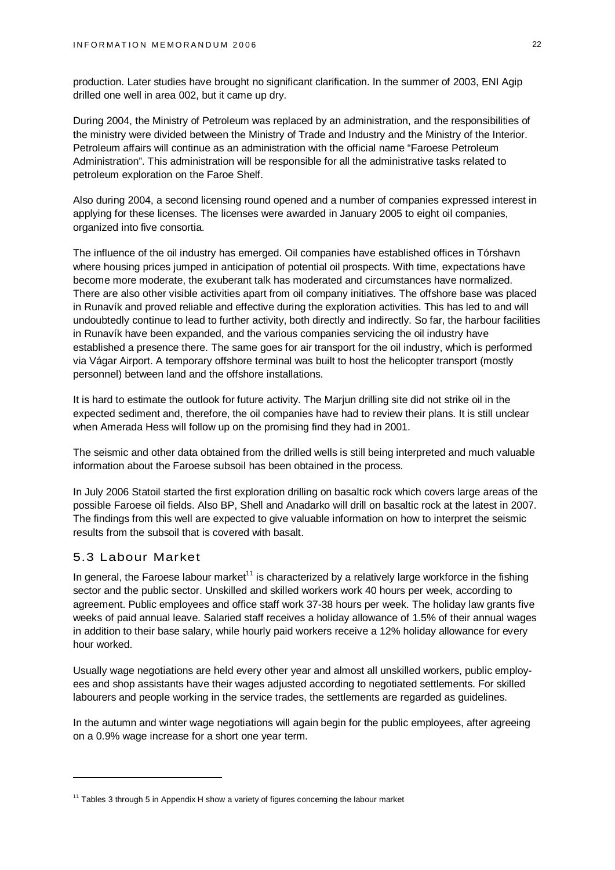production. Later studies have brought no significant clarification. In the summer of 2003, ENI Agip drilled one well in area 002, but it came up dry.

During 2004, the Ministry of Petroleum was replaced by an administration, and the responsibilities of the ministry were divided between the Ministry of Trade and Industry and the Ministry of the Interior. Petroleum affairs will continue as an administration with the official name "Faroese Petroleum Administration". This administration will be responsible for all the administrative tasks related to petroleum exploration on the Faroe Shelf.

Also during 2004, a second licensing round opened and a number of companies expressed interest in applying for these licenses. The licenses were awarded in January 2005 to eight oil companies, organized into five consortia.

The influence of the oil industry has emerged. Oil companies have established offices in Tórshavn where housing prices jumped in anticipation of potential oil prospects. With time, expectations have become more moderate, the exuberant talk has moderated and circumstances have normalized. There are also other visible activities apart from oil company initiatives. The offshore base was placed in Runavík and proved reliable and effective during the exploration activities. This has led to and will undoubtedly continue to lead to further activity, both directly and indirectly. So far, the harbour facilities in Runavík have been expanded, and the various companies servicing the oil industry have established a presence there. The same goes for air transport for the oil industry, which is performed via Vágar Airport. A temporary offshore terminal was built to host the helicopter transport (mostly personnel) between land and the offshore installations.

It is hard to estimate the outlook for future activity. The Marjun drilling site did not strike oil in the expected sediment and, therefore, the oil companies have had to review their plans. It is still unclear when Amerada Hess will follow up on the promising find they had in 2001.

The seismic and other data obtained from the drilled wells is still being interpreted and much valuable information about the Faroese subsoil has been obtained in the process.

In July 2006 Statoil started the first exploration drilling on basaltic rock which covers large areas of the possible Faroese oil fields. Also BP, Shell and Anadarko will drill on basaltic rock at the latest in 2007. The findings from this well are expected to give valuable information on how to interpret the seismic results from the subsoil that is covered with basalt.

# 5.3 Labour Market

In general, the Faroese labour market<sup>11</sup> is characterized by a relatively large workforce in the fishing sector and the public sector. Unskilled and skilled workers work 40 hours per week, according to agreement. Public employees and office staff work 37-38 hours per week. The holiday law grants five weeks of paid annual leave. Salaried staff receives a holiday allowance of 1.5% of their annual wages in addition to their base salary, while hourly paid workers receive a 12% holiday allowance for every hour worked.

Usually wage negotiations are held every other year and almost all unskilled workers, public employees and shop assistants have their wages adjusted according to negotiated settlements. For skilled labourers and people working in the service trades, the settlements are regarded as guidelines.

In the autumn and winter wage negotiations will again begin for the public employees, after agreeing on a 0.9% wage increase for a short one year term.

 $11$  Tables 3 through 5 in Appendix H show a variety of figures concerning the labour market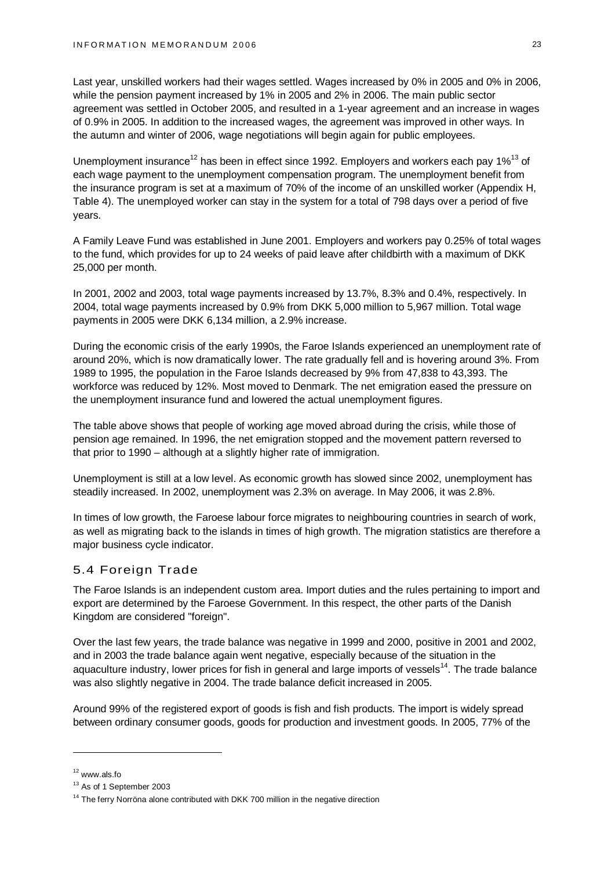Last year, unskilled workers had their wages settled. Wages increased by 0% in 2005 and 0% in 2006, while the pension payment increased by 1% in 2005 and 2% in 2006. The main public sector agreement was settled in October 2005, and resulted in a 1-year agreement and an increase in wages of 0.9% in 2005. In addition to the increased wages, the agreement was improved in other ways. In the autumn and winter of 2006, wage negotiations will begin again for public employees.

Unemployment insurance<sup>12</sup> has been in effect since 1992. Employers and workers each pay 1%<sup>13</sup> of each wage payment to the unemployment compensation program. The unemployment benefit from the insurance program is set at a maximum of 70% of the income of an unskilled worker (Appendix H, Table 4). The unemployed worker can stay in the system for a total of 798 days over a period of five years.

A Family Leave Fund was established in June 2001. Employers and workers pay 0.25% of total wages to the fund, which provides for up to 24 weeks of paid leave after childbirth with a maximum of DKK 25,000 per month.

In 2001, 2002 and 2003, total wage payments increased by 13.7%, 8.3% and 0.4%, respectively. In 2004, total wage payments increased by 0.9% from DKK 5,000 million to 5,967 million. Total wage payments in 2005 were DKK 6,134 million, a 2.9% increase.

During the economic crisis of the early 1990s, the Faroe Islands experienced an unemployment rate of around 20%, which is now dramatically lower. The rate gradually fell and is hovering around 3%. From 1989 to 1995, the population in the Faroe Islands decreased by 9% from 47,838 to 43,393. The workforce was reduced by 12%. Most moved to Denmark. The net emigration eased the pressure on the unemployment insurance fund and lowered the actual unemployment figures.

The table above shows that people of working age moved abroad during the crisis, while those of pension age remained. In 1996, the net emigration stopped and the movement pattern reversed to that prior to 1990 – although at a slightly higher rate of immigration.

Unemployment is still at a low level. As economic growth has slowed since 2002, unemployment has steadily increased. In 2002, unemployment was 2.3% on average. In May 2006, it was 2.8%.

In times of low growth, the Faroese labour force migrates to neighbouring countries in search of work, as well as migrating back to the islands in times of high growth. The migration statistics are therefore a major business cycle indicator.

# 5.4 Foreign Trade

The Faroe Islands is an independent custom area. Import duties and the rules pertaining to import and export are determined by the Faroese Government. In this respect, the other parts of the Danish Kingdom are considered "foreign".

Over the last few years, the trade balance was negative in 1999 and 2000, positive in 2001 and 2002, and in 2003 the trade balance again went negative, especially because of the situation in the aquaculture industry, lower prices for fish in general and large imports of vessels<sup>14</sup>. The trade balance was also slightly negative in 2004. The trade balance deficit increased in 2005.

Around 99% of the registered export of goods is fish and fish products. The import is widely spread between ordinary consumer goods, goods for production and investment goods. In 2005, 77% of the

<sup>12</sup> [www.als.fo](http://www.als.fo)

<sup>&</sup>lt;sup>13</sup> As of 1 September 2003

 $14$  The ferry Norröna alone contributed with DKK 700 million in the negative direction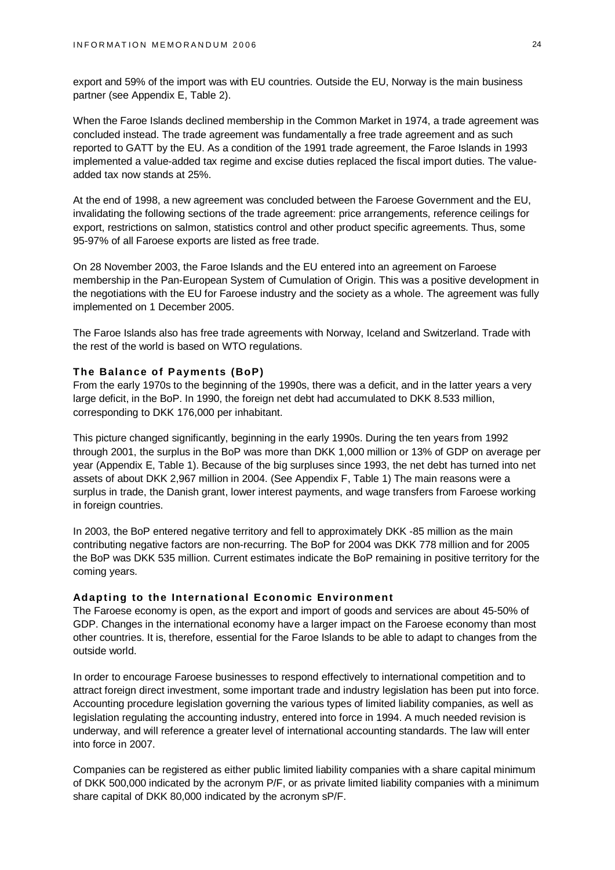export and 59% of the import was with EU countries. Outside the EU, Norway is the main business partner (see Appendix E, Table 2).

When the Faroe Islands declined membership in the Common Market in 1974, a trade agreement was concluded instead. The trade agreement was fundamentally a free trade agreement and as such reported to GATT by the EU. As a condition of the 1991 trade agreement, the Faroe Islands in 1993 implemented a value-added tax regime and excise duties replaced the fiscal import duties. The valueadded tax now stands at 25%.

At the end of 1998, a new agreement was concluded between the Faroese Government and the EU, invalidating the following sections of the trade agreement: price arrangements, reference ceilings for export, restrictions on salmon, statistics control and other product specific agreements. Thus, some 95-97% of all Faroese exports are listed as free trade.

On 28 November 2003, the Faroe Islands and the EU entered into an agreement on Faroese membership in the Pan-European System of Cumulation of Origin. This was a positive development in the negotiations with the EU for Faroese industry and the society as a whole. The agreement was fully implemented on 1 December 2005.

The Faroe Islands also has free trade agreements with Norway, Iceland and Switzerland. Trade with the rest of the world is based on WTO regulations.

#### **The Balance of Payments (BoP)**

From the early 1970s to the beginning of the 1990s, there was a deficit, and in the latter years a very large deficit, in the BoP. In 1990, the foreign net debt had accumulated to DKK 8.533 million, corresponding to DKK 176,000 per inhabitant.

This picture changed significantly, beginning in the early 1990s. During the ten years from 1992 through 2001, the surplus in the BoP was more than DKK 1,000 million or 13% of GDP on average per year (Appendix E, Table 1). Because of the big surpluses since 1993, the net debt has turned into net assets of about DKK 2,967 million in 2004. (See Appendix F, Table 1) The main reasons were a surplus in trade, the Danish grant, lower interest payments, and wage transfers from Faroese working in foreign countries.

In 2003, the BoP entered negative territory and fell to approximately DKK -85 million as the main contributing negative factors are non-recurring. The BoP for 2004 was DKK 778 million and for 2005 the BoP was DKK 535 million. Current estimates indicate the BoP remaining in positive territory for the coming years.

#### **Adapting to the International Economic Environment**

The Faroese economy is open, as the export and import of goods and services are about 45-50% of GDP. Changes in the international economy have a larger impact on the Faroese economy than most other countries. It is, therefore, essential for the Faroe Islands to be able to adapt to changes from the outside world.

In order to encourage Faroese businesses to respond effectively to international competition and to attract foreign direct investment, some important trade and industry legislation has been put into force. Accounting procedure legislation governing the various types of limited liability companies, as well as legislation regulating the accounting industry, entered into force in 1994. A much needed revision is underway, and will reference a greater level of international accounting standards. The law will enter into force in 2007.

Companies can be registered as either public limited liability companies with a share capital minimum of DKK 500,000 indicated by the acronym P/F, or as private limited liability companies with a minimum share capital of DKK 80,000 indicated by the acronym sP/F.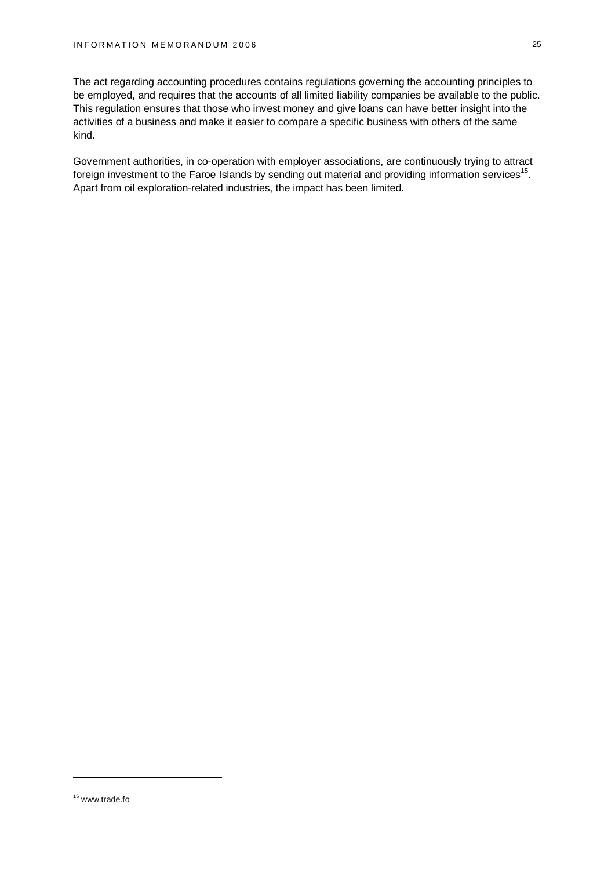The act regarding accounting procedures contains regulations governing the accounting principles to be employed, and requires that the accounts of all limited liability companies be available to the public. This regulation ensures that those who invest money and give loans can have better insight into the activities of a business and make it easier to compare a specific business with others of the same kind.

Government authorities, in co-operation with employer associations, are continuously trying to attract foreign investment to the Faroe Islands by sending out material and providing information services<sup>15</sup>. Apart from oil exploration-related industries, the impact has been limited.

<sup>15</sup> [www.trade.fo](http://www.trade.fo)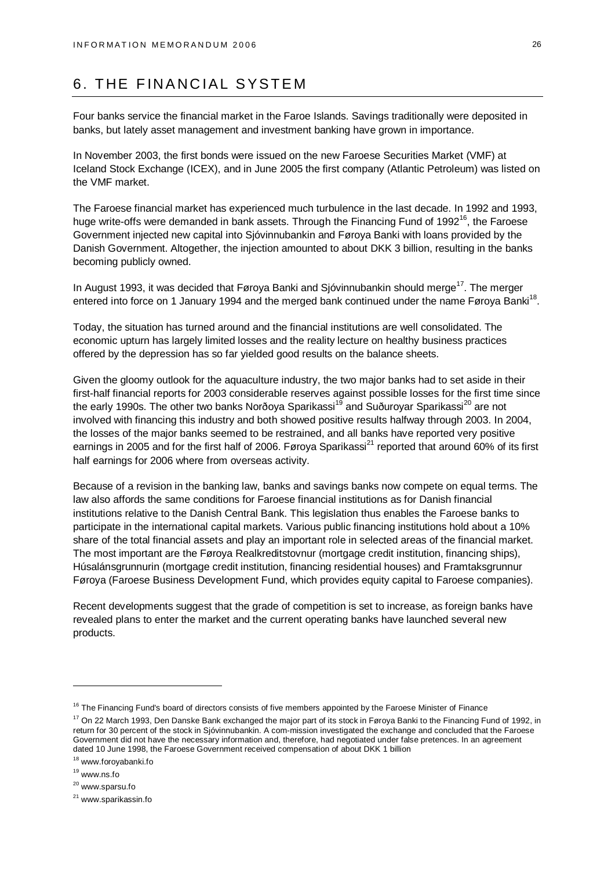# 6. THE FINANCIAL SYSTEM

Four banks service the financial market in the Faroe Islands. Savings traditionally were deposited in banks, but lately asset management and investment banking have grown in importance.

In November 2003, the first bonds were issued on the new Faroese Securities Market (VMF) at Iceland Stock Exchange (ICEX), and in June 2005 the first company (Atlantic Petroleum) was listed on the VMF market.

The Faroese financial market has experienced much turbulence in the last decade. In 1992 and 1993, huge write-offs were demanded in bank assets. Through the Financing Fund of 1992<sup>16</sup>, the Faroese Government injected new capital into Sjóvinnubankin and Føroya Banki with loans provided by the Danish Government. Altogether, the injection amounted to about DKK 3 billion, resulting in the banks becoming publicly owned.

In August 1993, it was decided that Føroya Banki and Sjóvinnubankin should merge<sup>17</sup>. The merger entered into force on 1 January 1994 and the merged bank continued under the name Føroya Banki<sup>18</sup>.

Today, the situation has turned around and the financial institutions are well consolidated. The economic upturn has largely limited losses and the reality lecture on healthy business practices offered by the depression has so far yielded good results on the balance sheets.

Given the gloomy outlook for the aquaculture industry, the two major banks had to set aside in their first-half financial reports for 2003 considerable reserves against possible losses for the first time since the early 1990s. The other two banks Norðoya Sparikassi<sup>19</sup> and Suðuroyar Sparikassi<sup>20</sup> are not involved with financing this industry and both showed positive results halfway through 2003. In 2004, the losses of the major banks seemed to be restrained, and all banks have reported very positive earnings in 2005 and for the first half of 2006. Føroya Sparikassi<sup>21</sup> reported that around 60% of its first half earnings for 2006 where from overseas activity.

Because of a revision in the banking law, banks and savings banks now compete on equal terms. The law also affords the same conditions for Faroese financial institutions as for Danish financial institutions relative to the Danish Central Bank. This legislation thus enables the Faroese banks to participate in the international capital markets. Various public financing institutions hold about a 10% share of the total financial assets and play an important role in selected areas of the financial market. The most important are the Føroya Realkreditstovnur (mortgage credit institution, financing ships), Húsalánsgrunnurin (mortgage credit institution, financing residential houses) and Framtaksgrunnur Føroya (Faroese Business Development Fund, which provides equity capital to Faroese companies).

Recent developments suggest that the grade of competition is set to increase, as foreign banks have revealed plans to enter the market and the current operating banks have launched several new products.

<sup>18</sup> [www.foroyabanki.fo](http://www.foroyabanki.fo)

<sup>&</sup>lt;sup>16</sup> The Financing Fund's board of directors consists of five members appointed by the Faroese Minister of Finance

<sup>&</sup>lt;sup>17</sup> On 22 March 1993, Den Danske Bank exchanged the major part of its stock in Føroya Banki to the Financing Fund of 1992, in return for 30 percent of the stock in Sjóvinnubankin. A com-mission investigated the exchange and concluded that the Faroese Government did not have the necessary information and, therefore, had negotiated under false pretences. In an agreement dated 10 June 1998, the Faroese Government received compensation of about DKK 1 billion

<sup>19</sup> [www.ns.fo](http://www.ns.fo)

<sup>20</sup> [www.sparsu.fo](http://www.sparsu.fo)

<sup>&</sup>lt;sup>21</sup> [www.sparikassin.fo](http://www.sparikassin.fo)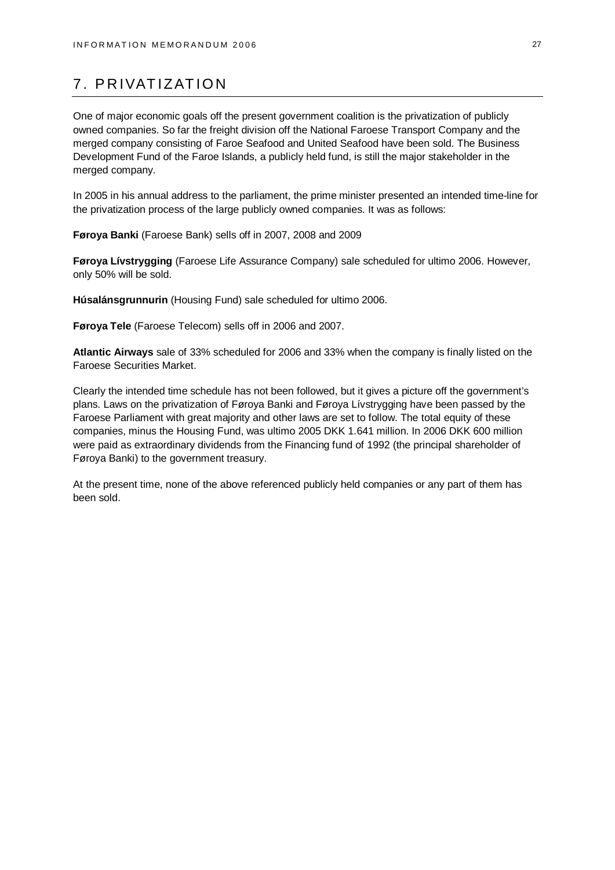# 7. PRIVATIZATION

One of major economic goals off the present government coalition is the privatization of publicly owned companies. So far the freight division off the National Faroese Transport Company and the merged company consisting of Faroe Seafood and United Seafood have been sold. The Business Development Fund of the Faroe Islands, a publicly held fund, is still the major stakeholder in the merged company.

In 2005 in his annual address to the parliament, the prime minister presented an intended time-line for the privatization process of the large publicly owned companies. It was as follows:

**Føroya Banki** (Faroese Bank) sells off in 2007, 2008 and 2009

**Føroya Lívstrygging** (Faroese Life Assurance Company) sale scheduled for ultimo 2006. However, only 50% will be sold.

**Húsalánsgrunnurin** (Housing Fund) sale scheduled for ultimo 2006.

**Føroya Tele** (Faroese Telecom) sells off in 2006 and 2007.

**Atlantic Airways** sale of 33% scheduled for 2006 and 33% when the company is finally listed on the Faroese Securities Market.

Clearly the intended time schedule has not been followed, but it gives a picture off the government's plans. Laws on the privatization of Føroya Banki and Føroya Lívstrygging have been passed by the Faroese Parliament with great majority and other laws are set to follow. The total equity of these companies, minus the Housing Fund, was ultimo 2005 DKK 1.641 million. In 2006 DKK 600 million were paid as extraordinary dividends from the Financing fund of 1992 (the principal shareholder of Føroya Banki) to the government treasury.

At the present time, none of the above referenced publicly held companies or any part of them has been sold.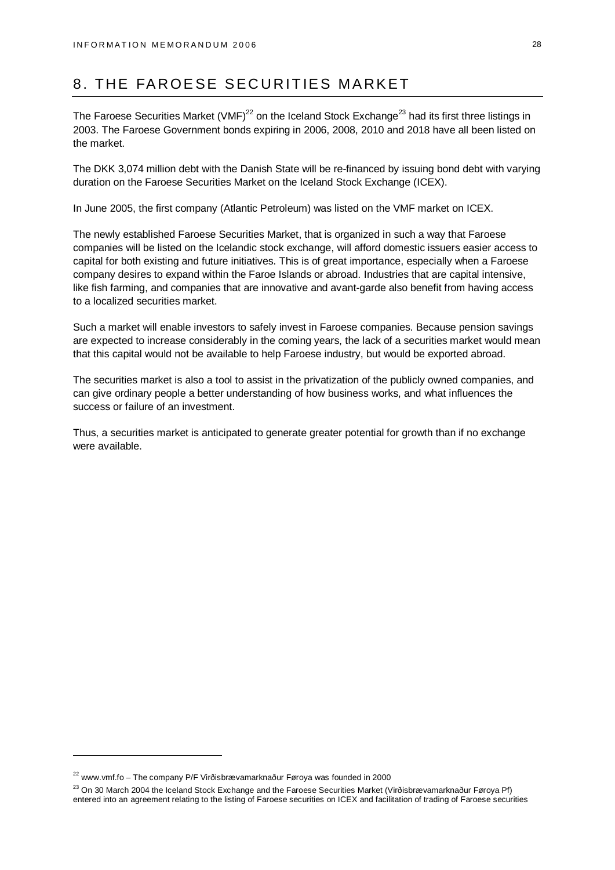# 8. THE FAROESE SECURITIES MARKET

The Faroese Securities Market (VMF)<sup>22</sup> on the Iceland Stock Exchange<sup>23</sup> had its first three listings in 2003. The Faroese Government bonds expiring in 2006, 2008, 2010 and 2018 have all been listed on the market.

The DKK 3,074 million debt with the Danish State will be re-financed by issuing bond debt with varying duration on the Faroese Securities Market on the Iceland Stock Exchange (ICEX).

In June 2005, the first company (Atlantic Petroleum) was listed on the VMF market on ICEX.

The newly established Faroese Securities Market, that is organized in such a way that Faroese companies will be listed on the Icelandic stock exchange, will afford domestic issuers easier access to capital for both existing and future initiatives. This is of great importance, especially when a Faroese company desires to expand within the Faroe Islands or abroad. Industries that are capital intensive, like fish farming, and companies that are innovative and avant-garde also benefit from having access to a localized securities market.

Such a market will enable investors to safely invest in Faroese companies. Because pension savings are expected to increase considerably in the coming years, the lack of a securities market would mean that this capital would not be available to help Faroese industry, but would be exported abroad.

The securities market is also a tool to assist in the privatization of the publicly owned companies, and can give ordinary people a better understanding of how business works, and what influences the success or failure of an investment.

Thus, a securities market is anticipated to generate greater potential for growth than if no exchange were available.

<sup>22</sup> [www.vmf.fo](http://www.vmf.fo) – The company P/F Virðisbrævamarknaður Føroya was founded in 2000

<sup>&</sup>lt;sup>23</sup> On 30 March 2004 the Iceland Stock Exchange and the Faroese Securities Market (Virðisbrævamarknaður Føroya Pf) entered into an agreement relating to the listing of Faroese securities on ICEX and facilitation of trading of Faroese securities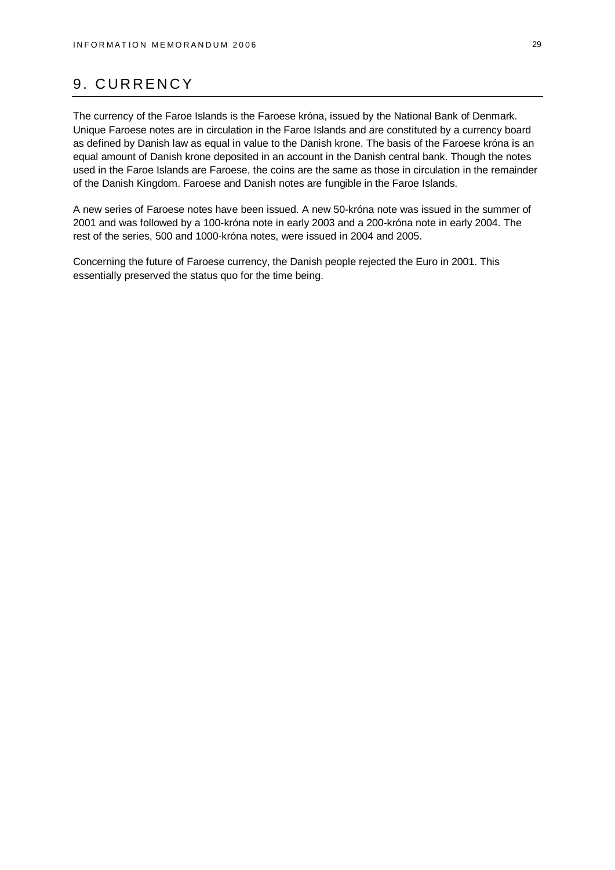# 9. CURRENCY

The currency of the Faroe Islands is the Faroese króna, issued by the National Bank of Denmark. Unique Faroese notes are in circulation in the Faroe Islands and are constituted by a currency board as defined by Danish law as equal in value to the Danish krone. The basis of the Faroese króna is an equal amount of Danish krone deposited in an account in the Danish central bank. Though the notes used in the Faroe Islands are Faroese, the coins are the same as those in circulation in the remainder of the Danish Kingdom. Faroese and Danish notes are fungible in the Faroe Islands.

A new series of Faroese notes have been issued. A new 50-króna note was issued in the summer of 2001 and was followed by a 100-króna note in early 2003 and a 200-króna note in early 2004. The rest of the series, 500 and 1000-króna notes, were issued in 2004 and 2005.

Concerning the future of Faroese currency, the Danish people rejected the Euro in 2001. This essentially preserved the status quo for the time being.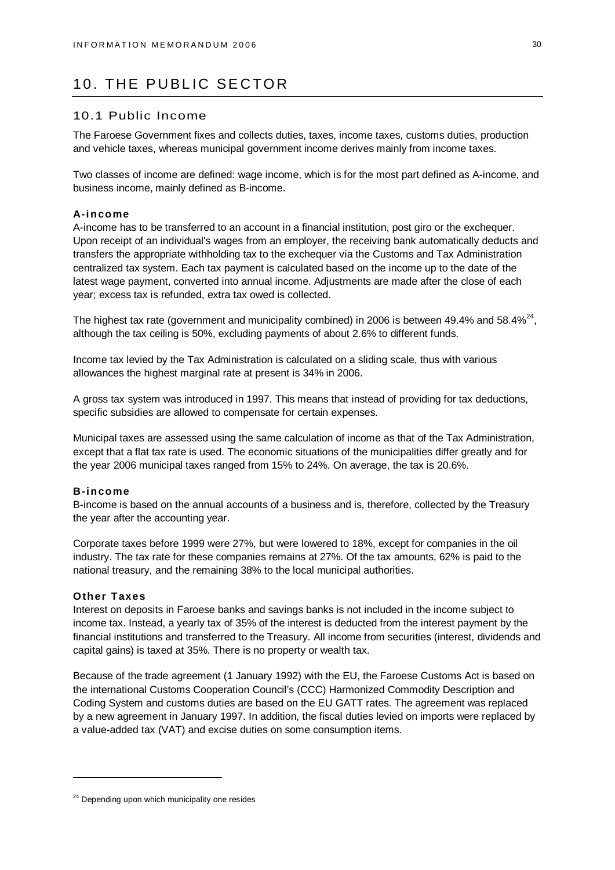# 10. THE PUBLIC SECTOR

### 10.1 Public Income

The Faroese Government fixes and collects duties, taxes, income taxes, customs duties, production and vehicle taxes, whereas municipal government income derives mainly from income taxes.

Two classes of income are defined: wage income, which is for the most part defined as A-income, and business income, mainly defined as B-income.

#### **A-income**

A-income has to be transferred to an account in a financial institution, post giro or the exchequer. Upon receipt of an individual's wages from an employer, the receiving bank automatically deducts and transfers the appropriate withholding tax to the exchequer via the Customs and Tax Administration centralized tax system. Each tax payment is calculated based on the income up to the date of the latest wage payment, converted into annual income. Adjustments are made after the close of each year; excess tax is refunded, extra tax owed is collected.

The highest tax rate (government and municipality combined) in 2006 is between 49.4% and 58.4%<sup>24</sup>, although the tax ceiling is 50%, excluding payments of about 2.6% to different funds.

Income tax levied by the Tax Administration is calculated on a sliding scale, thus with various allowances the highest marginal rate at present is 34% in 2006.

A gross tax system was introduced in 1997. This means that instead of providing for tax deductions, specific subsidies are allowed to compensate for certain expenses.

Municipal taxes are assessed using the same calculation of income as that of the Tax Administration, except that a flat tax rate is used. The economic situations of the municipalities differ greatly and for the year 2006 municipal taxes ranged from 15% to 24%. On average, the tax is 20.6%.

#### **B-income**

B-income is based on the annual accounts of a business and is, therefore, collected by the Treasury the year after the accounting year.

Corporate taxes before 1999 were 27%, but were lowered to 18%, except for companies in the oil industry. The tax rate for these companies remains at 27%. Of the tax amounts, 62% is paid to the national treasury, and the remaining 38% to the local municipal authorities.

### **Other Taxes**

Interest on deposits in Faroese banks and savings banks is not included in the income subject to income tax. Instead, a yearly tax of 35% of the interest is deducted from the interest payment by the financial institutions and transferred to the Treasury. All income from securities (interest, dividends and capital gains) is taxed at 35%. There is no property or wealth tax.

Because of the trade agreement (1 January 1992) with the EU, the Faroese Customs Act is based on the international Customs Cooperation Council's (CCC) Harmonized Commodity Description and Coding System and customs duties are based on the EU GATT rates. The agreement was replaced by a new agreement in January 1997. In addition, the fiscal duties levied on imports were replaced by a value-added tax (VAT) and excise duties on some consumption items.

<sup>&</sup>lt;sup>24</sup> Depending upon which municipality one resides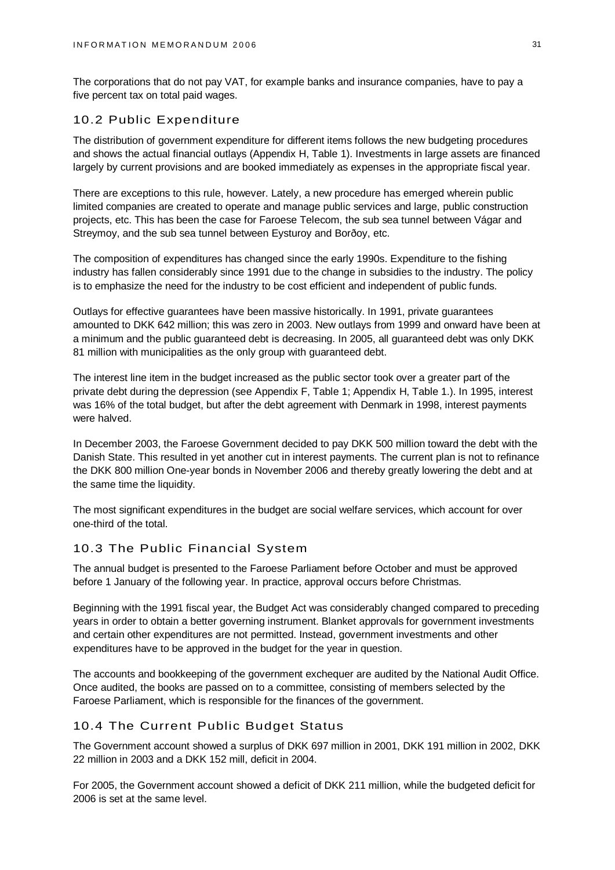The corporations that do not pay VAT, for example banks and insurance companies, have to pay a five percent tax on total paid wages.

# 10.2 Public Expenditure

The distribution of government expenditure for different items follows the new budgeting procedures and shows the actual financial outlays (Appendix H, Table 1). Investments in large assets are financed largely by current provisions and are booked immediately as expenses in the appropriate fiscal year.

There are exceptions to this rule, however. Lately, a new procedure has emerged wherein public limited companies are created to operate and manage public services and large, public construction projects, etc. This has been the case for Faroese Telecom, the sub sea tunnel between Vágar and Streymoy, and the sub sea tunnel between Eysturoy and Borðoy, etc.

The composition of expenditures has changed since the early 1990s. Expenditure to the fishing industry has fallen considerably since 1991 due to the change in subsidies to the industry. The policy is to emphasize the need for the industry to be cost efficient and independent of public funds.

Outlays for effective guarantees have been massive historically. In 1991, private guarantees amounted to DKK 642 million; this was zero in 2003. New outlays from 1999 and onward have been at a minimum and the public guaranteed debt is decreasing. In 2005, all guaranteed debt was only DKK 81 million with municipalities as the only group with guaranteed debt.

The interest line item in the budget increased as the public sector took over a greater part of the private debt during the depression (see Appendix F, Table 1; Appendix H, Table 1.). In 1995, interest was 16% of the total budget, but after the debt agreement with Denmark in 1998, interest payments were halved.

In December 2003, the Faroese Government decided to pay DKK 500 million toward the debt with the Danish State. This resulted in yet another cut in interest payments. The current plan is not to refinance the DKK 800 million One-year bonds in November 2006 and thereby greatly lowering the debt and at the same time the liquidity.

The most significant expenditures in the budget are social welfare services, which account for over one-third of the total.

# 10.3 The Public Financial System

The annual budget is presented to the Faroese Parliament before October and must be approved before 1 January of the following year. In practice, approval occurs before Christmas.

Beginning with the 1991 fiscal year, the Budget Act was considerably changed compared to preceding years in order to obtain a better governing instrument. Blanket approvals for government investments and certain other expenditures are not permitted. Instead, government investments and other expenditures have to be approved in the budget for the year in question.

The accounts and bookkeeping of the government exchequer are audited by the National Audit Office. Once audited, the books are passed on to a committee, consisting of members selected by the Faroese Parliament, which is responsible for the finances of the government.

#### 10.4 The Current Public Budget Status

The Government account showed a surplus of DKK 697 million in 2001, DKK 191 million in 2002, DKK 22 million in 2003 and a DKK 152 mill, deficit in 2004.

For 2005, the Government account showed a deficit of DKK 211 million, while the budgeted deficit for 2006 is set at the same level.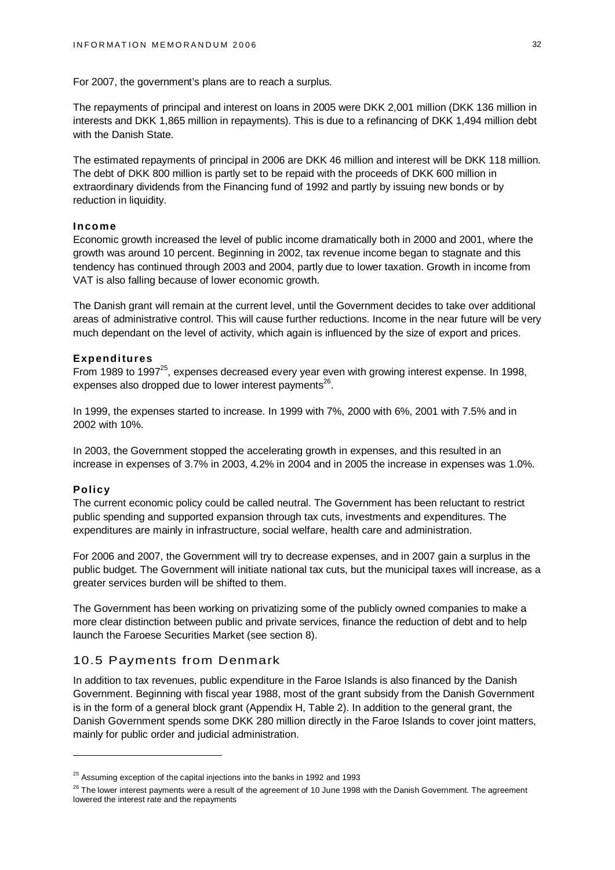For 2007, the government's plans are to reach a surplus.

The repayments of principal and interest on loans in 2005 were DKK 2,001 million (DKK 136 million in interests and DKK 1,865 million in repayments). This is due to a refinancing of DKK 1,494 million debt with the Danish State.

The estimated repayments of principal in 2006 are DKK 46 million and interest will be DKK 118 million. The debt of DKK 800 million is partly set to be repaid with the proceeds of DKK 600 million in extraordinary dividends from the Financing fund of 1992 and partly by issuing new bonds or by reduction in liquidity.

### **Income**

Economic growth increased the level of public income dramatically both in 2000 and 2001, where the growth was around 10 percent. Beginning in 2002, tax revenue income began to stagnate and this tendency has continued through 2003 and 2004, partly due to lower taxation. Growth in income from VAT is also falling because of lower economic growth.

The Danish grant will remain at the current level, until the Government decides to take over additional areas of administrative control. This will cause further reductions. Income in the near future will be very much dependant on the level of activity, which again is influenced by the size of export and prices.

#### **Expenditures**

From 1989 to 1997<sup>25</sup>, expenses decreased every year even with growing interest expense. In 1998, expenses also dropped due to lower interest payments $^{26}$ .

In 1999, the expenses started to increase. In 1999 with 7%, 2000 with 6%, 2001 with 7.5% and in 2002 with 10%.

In 2003, the Government stopped the accelerating growth in expenses, and this resulted in an increase in expenses of 3.7% in 2003, 4.2% in 2004 and in 2005 the increase in expenses was 1.0%.

#### **Policy**

The current economic policy could be called neutral. The Government has been reluctant to restrict public spending and supported expansion through tax cuts, investments and expenditures. The expenditures are mainly in infrastructure, social welfare, health care and administration.

For 2006 and 2007, the Government will try to decrease expenses, and in 2007 gain a surplus in the public budget. The Government will initiate national tax cuts, but the municipal taxes will increase, as a greater services burden will be shifted to them.

The Government has been working on privatizing some of the publicly owned companies to make a more clear distinction between public and private services, finance the reduction of debt and to help launch the Faroese Securities Market (see section 8).

#### 10.5 Payments from Denmark

In addition to tax revenues, public expenditure in the Faroe Islands is also financed by the Danish Government. Beginning with fiscal year 1988, most of the grant subsidy from the Danish Government is in the form of a general block grant (Appendix H, Table 2). In addition to the general grant, the Danish Government spends some DKK 280 million directly in the Faroe Islands to cover joint matters, mainly for public order and judicial administration.

 $25$  Assuming exception of the capital injections into the banks in 1992 and 1993

<sup>&</sup>lt;sup>26</sup> The lower interest payments were a result of the agreement of 10 June 1998 with the Danish Government. The agreement lowered the interest rate and the repayments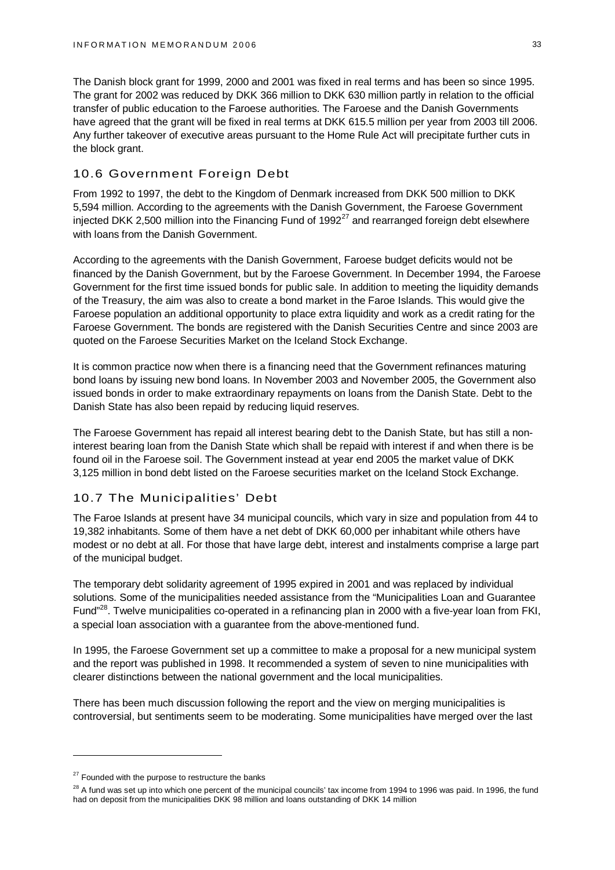The Danish block grant for 1999, 2000 and 2001 was fixed in real terms and has been so since 1995. The grant for 2002 was reduced by DKK 366 million to DKK 630 million partly in relation to the official transfer of public education to the Faroese authorities. The Faroese and the Danish Governments have agreed that the grant will be fixed in real terms at DKK 615.5 million per year from 2003 till 2006. Any further takeover of executive areas pursuant to the Home Rule Act will precipitate further cuts in the block grant.

# 10.6 Government Foreign Debt

From 1992 to 1997, the debt to the Kingdom of Denmark increased from DKK 500 million to DKK 5,594 million. According to the agreements with the Danish Government, the Faroese Government injected DKK 2,500 million into the Financing Fund of  $1992<sup>27</sup>$  and rearranged foreign debt elsewhere with loans from the Danish Government.

According to the agreements with the Danish Government, Faroese budget deficits would not be financed by the Danish Government, but by the Faroese Government. In December 1994, the Faroese Government for the first time issued bonds for public sale. In addition to meeting the liquidity demands of the Treasury, the aim was also to create a bond market in the Faroe Islands. This would give the Faroese population an additional opportunity to place extra liquidity and work as a credit rating for the Faroese Government. The bonds are registered with the Danish Securities Centre and since 2003 are quoted on the Faroese Securities Market on the Iceland Stock Exchange.

It is common practice now when there is a financing need that the Government refinances maturing bond loans by issuing new bond loans. In November 2003 and November 2005, the Government also issued bonds in order to make extraordinary repayments on loans from the Danish State. Debt to the Danish State has also been repaid by reducing liquid reserves.

The Faroese Government has repaid all interest bearing debt to the Danish State, but has still a noninterest bearing loan from the Danish State which shall be repaid with interest if and when there is be found oil in the Faroese soil. The Government instead at year end 2005 the market value of DKK 3,125 million in bond debt listed on the Faroese securities market on the Iceland Stock Exchange.

# 10.7 The Municipalities' Debt

The Faroe Islands at present have 34 municipal councils, which vary in size and population from 44 to 19,382 inhabitants. Some of them have a net debt of DKK 60,000 per inhabitant while others have modest or no debt at all. For those that have large debt, interest and instalments comprise a large part of the municipal budget.

The temporary debt solidarity agreement of 1995 expired in 2001 and was replaced by individual solutions. Some of the municipalities needed assistance from the "Municipalities Loan and Guarantee Fund"<sup>28</sup>. Twelve municipalities co-operated in a refinancing plan in 2000 with a five-year loan from FKI, a special loan association with a guarantee from the above-mentioned fund.

In 1995, the Faroese Government set up a committee to make a proposal for a new municipal system and the report was published in 1998. It recommended a system of seven to nine municipalities with clearer distinctions between the national government and the local municipalities.

There has been much discussion following the report and the view on merging municipalities is controversial, but sentiments seem to be moderating. Some municipalities have merged over the last

 $27$  Founded with the purpose to restructure the banks

<sup>&</sup>lt;sup>28</sup> A fund was set up into which one percent of the municipal councils' tax income from 1994 to 1996 was paid. In 1996, the fund had on deposit from the municipalities DKK 98 million and loans outstanding of DKK 14 million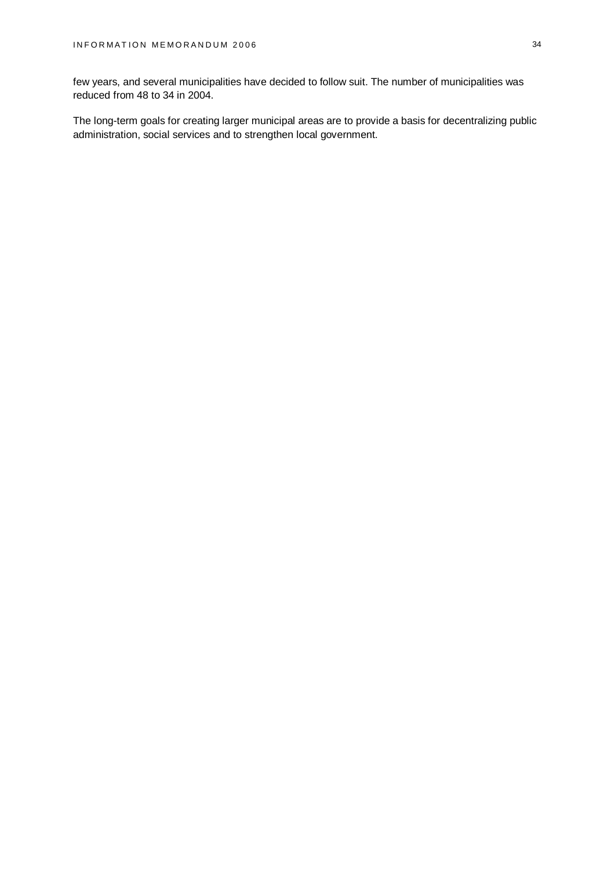few years, and several municipalities have decided to follow suit. The number of municipalities was reduced from 48 to 34 in 2004.

The long-term goals for creating larger municipal areas are to provide a basis for decentralizing public administration, social services and to strengthen local government.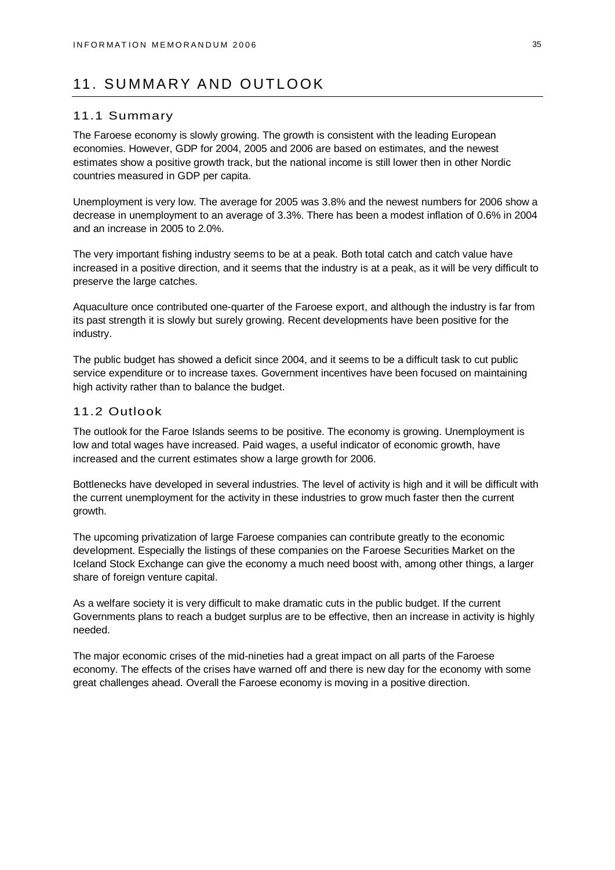# 11. SUMMARY AND OUTLOOK

#### 11.1 Summary

The Faroese economy is slowly growing. The growth is consistent with the leading European economies. However, GDP for 2004, 2005 and 2006 are based on estimates, and the newest estimates show a positive growth track, but the national income is still lower then in other Nordic countries measured in GDP per capita.

Unemployment is very low. The average for 2005 was 3.8% and the newest numbers for 2006 show a decrease in unemployment to an average of 3.3%. There has been a modest inflation of 0.6% in 2004 and an increase in 2005 to 2.0%.

The very important fishing industry seems to be at a peak. Both total catch and catch value have increased in a positive direction, and it seems that the industry is at a peak, as it will be very difficult to preserve the large catches.

Aquaculture once contributed one-quarter of the Faroese export, and although the industry is far from its past strength it is slowly but surely growing. Recent developments have been positive for the industry.

The public budget has showed a deficit since 2004, and it seems to be a difficult task to cut public service expenditure or to increase taxes. Government incentives have been focused on maintaining high activity rather than to balance the budget.

### 11.2 Outlook

The outlook for the Faroe Islands seems to be positive. The economy is growing. Unemployment is low and total wages have increased. Paid wages, a useful indicator of economic growth, have increased and the current estimates show a large growth for 2006.

Bottlenecks have developed in several industries. The level of activity is high and it will be difficult with the current unemployment for the activity in these industries to grow much faster then the current growth.

The upcoming privatization of large Faroese companies can contribute greatly to the economic development. Especially the listings of these companies on the Faroese Securities Market on the Iceland Stock Exchange can give the economy a much need boost with, among other things, a larger share of foreign venture capital.

As a welfare society it is very difficult to make dramatic cuts in the public budget. If the current Governments plans to reach a budget surplus are to be effective, then an increase in activity is highly needed.

The major economic crises of the mid-nineties had a great impact on all parts of the Faroese economy. The effects of the crises have warned off and there is new day for the economy with some great challenges ahead. Overall the Faroese economy is moving in a positive direction.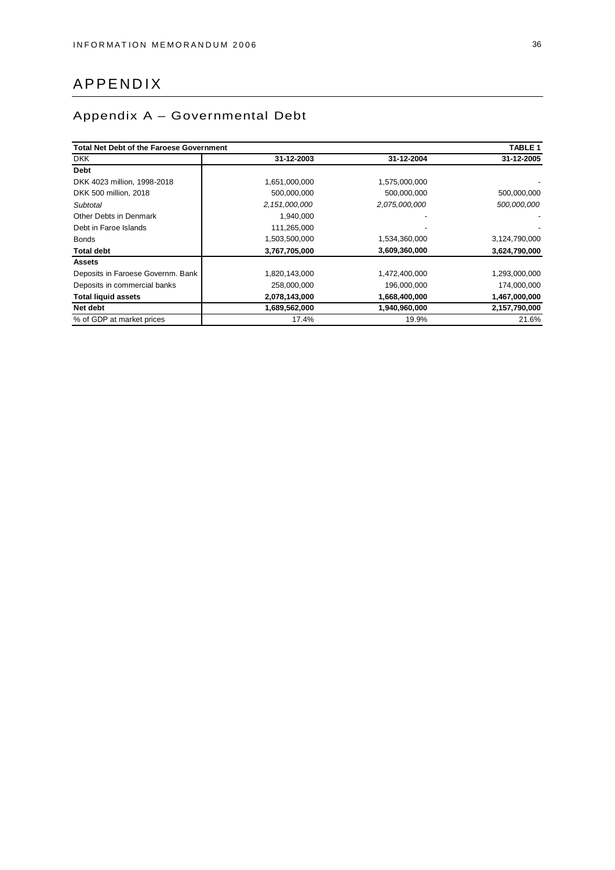# APPENDIX

# Appendix A – Governmental Debt

| <b>Total Net Debt of the Faroese Government</b> |               |               | TABLE <sub>1</sub> |
|-------------------------------------------------|---------------|---------------|--------------------|
| <b>DKK</b>                                      | 31-12-2003    | 31-12-2004    | 31-12-2005         |
| <b>Debt</b>                                     |               |               |                    |
| DKK 4023 million, 1998-2018                     | 1,651,000,000 | 1,575,000,000 |                    |
| DKK 500 million, 2018                           | 500,000,000   | 500,000,000   | 500,000,000        |
| Subtotal                                        | 2,151,000,000 | 2,075,000,000 | 500,000,000        |
| Other Debts in Denmark                          | 1,940,000     |               |                    |
| Debt in Faroe Islands                           | 111,265,000   |               |                    |
| <b>Bonds</b>                                    | 1,503,500,000 | 1,534,360,000 | 3,124,790,000      |
| <b>Total debt</b>                               | 3,767,705,000 | 3,609,360,000 | 3,624,790,000      |
| <b>Assets</b>                                   |               |               |                    |
| Deposits in Faroese Governm. Bank               | 1,820,143,000 | 1,472,400,000 | 1,293,000,000      |
| Deposits in commercial banks                    | 258,000,000   | 196,000,000   | 174,000,000        |
| <b>Total liquid assets</b>                      | 2,078,143,000 | 1,668,400,000 | 1,467,000,000      |
| Net debt                                        | 1,689,562,000 | 1,940,960,000 | 2,157,790,000      |
| % of GDP at market prices                       | 17.4%         | 19.9%         | 21.6%              |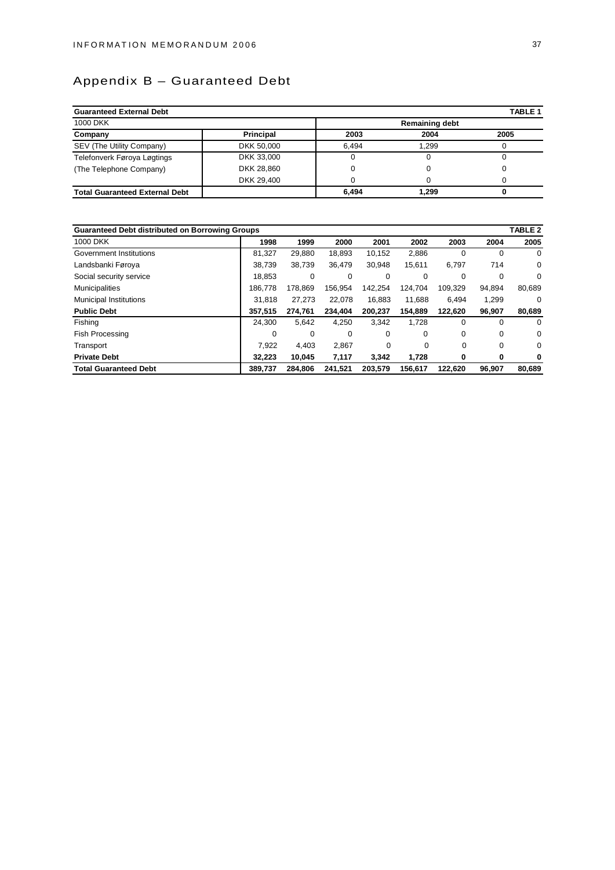# Appendix B – Guaranteed Debt

| <b>Guaranteed External Debt</b>       |                  |       |                       | <b>TABLE 1</b> |
|---------------------------------------|------------------|-------|-----------------------|----------------|
| 1000 DKK                              |                  |       | <b>Remaining debt</b> |                |
| Company                               | <b>Principal</b> | 2003  | 2004                  | 2005           |
| SEV (The Utility Company)             | DKK 50,000       | 6.494 | 1.299                 |                |
| Telefonverk Føroya Løgtings           | DKK 33,000       |       |                       |                |
| (The Telephone Company)               | DKK 28.860       |       |                       |                |
|                                       | DKK 29.400       |       |                       |                |
| <b>Total Guaranteed External Debt</b> |                  | 6.494 | 1.299                 |                |

| <b>Guaranteed Debt distributed on Borrowing Groups</b> |         |         |         |         |          |          |          | TABLE 2  |
|--------------------------------------------------------|---------|---------|---------|---------|----------|----------|----------|----------|
| 1000 DKK                                               | 1998    | 1999    | 2000    | 2001    | 2002     | 2003     | 2004     | 2005     |
| Government Institutions                                | 81,327  | 29,880  | 18,893  | 10,152  | 2,886    | $\Omega$ | $\Omega$ | $\Omega$ |
| Landsbanki Føroya                                      | 38,739  | 38,739  | 36.479  | 30,948  | 15,611   | 6,797    | 714      | 0        |
| Social security service                                | 18.853  | 0       | 0       | 0       | $\Omega$ | 0        | 0        | $\Omega$ |
| <b>Municipalities</b>                                  | 186,778 | 178,869 | 156.954 | 142,254 | 124.704  | 109.329  | 94,894   | 80,689   |
| <b>Municipal Institutions</b>                          | 31.818  | 27.273  | 22.078  | 16.883  | 11.688   | 6.494    | 1,299    | 0        |
| <b>Public Debt</b>                                     | 357,515 | 274,761 | 234.404 | 200,237 | 154,889  | 122,620  | 96,907   | 80,689   |
| Fishing                                                | 24.300  | 5,642   | 4,250   | 3,342   | 1,728    | 0        | $\Omega$ | $\Omega$ |
| <b>Fish Processing</b>                                 | 0       | 0       | 0       | 0       | $\Omega$ | 0        | 0        | 0        |
| Transport                                              | 7.922   | 4.403   | 2,867   | 0       | 0        | 0        | 0        | 0        |
| <b>Private Debt</b>                                    | 32.223  | 10,045  | 7,117   | 3,342   | 1,728    | 0        | 0        | 0        |
| <b>Total Guaranteed Debt</b>                           | 389.737 | 284.806 | 241.521 | 203.579 | 156.617  | 122.620  | 96.907   | 80.689   |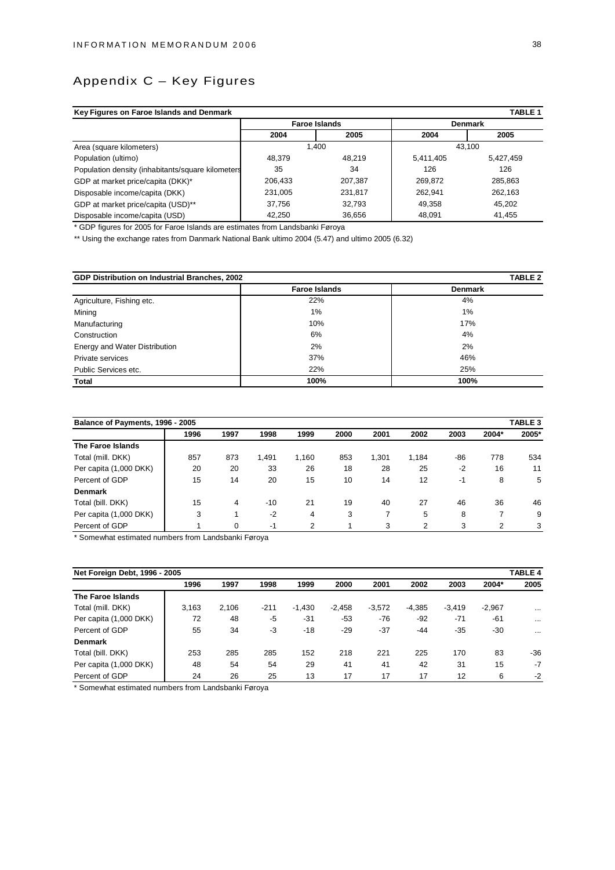# Appendix C – Key Figures

| Key Figures on Faroe Islands and Denmark<br><b>TABLE 1</b> |         |                      |           |                |  |  |  |
|------------------------------------------------------------|---------|----------------------|-----------|----------------|--|--|--|
|                                                            |         | <b>Faroe Islands</b> |           | <b>Denmark</b> |  |  |  |
|                                                            | 2004    | 2005                 | 2004      | 2005           |  |  |  |
| Area (square kilometers)                                   |         | 1.400                |           | 43.100         |  |  |  |
| Population (ultimo)                                        | 48.379  | 48.219               | 5,411,405 | 5,427,459      |  |  |  |
| Population density (inhabitants/square kilometers          | 35      | 34                   | 126       | 126            |  |  |  |
| GDP at market price/capita (DKK)*                          | 206,433 | 207,387              | 269.872   | 285,863        |  |  |  |
| Disposable income/capita (DKK)                             | 231,005 | 231,817              | 262.941   | 262.163        |  |  |  |
| GDP at market price/capita (USD)**                         | 37,756  | 32,793               | 49,358    | 45.202         |  |  |  |
| Disposable income/capita (USD)                             | 42,250  | 36,656               | 48,091    | 41,455         |  |  |  |

\* GDP figures for 2005 for Faroe Islands are estimates from Landsbanki Føroya

\*\* Using the exchange rates from Danmark National Bank ultimo 2004 (5.47) and ultimo 2005 (6.32)

| GDP Distribution on Industrial Branches, 2002 |                      | TABLE 2        |
|-----------------------------------------------|----------------------|----------------|
|                                               | <b>Faroe Islands</b> | <b>Denmark</b> |
| Agriculture, Fishing etc.                     | 22%                  | 4%             |
| Mining                                        | 1%                   | 1%             |
| Manufacturing                                 | 10%                  | 17%            |
| Construction                                  | 6%                   | 4%             |
| Energy and Water Distribution                 | 2%                   | 2%             |
| Private services                              | 37%                  | 46%            |
| Public Services etc.                          | 22%                  | 25%            |
| Total                                         | 100%                 | 100%           |

| Balance of Payments, 1996 - 2005 |      |      |       |       |      |       |       |       |                | <b>TABLE 3</b> |
|----------------------------------|------|------|-------|-------|------|-------|-------|-------|----------------|----------------|
|                                  | 1996 | 1997 | 1998  | 1999  | 2000 | 2001  | 2002  | 2003  | 2004*          | 2005*          |
| The Faroe Islands                |      |      |       |       |      |       |       |       |                |                |
| Total (mill. DKK)                | 857  | 873  | 1,491 | 1.160 | 853  | 1,301 | 1,184 | $-86$ | 778            | 534            |
| Per capita (1,000 DKK)           | 20   | 20   | 33    | 26    | 18   | 28    | 25    | -2    | 16             | 11             |
| Percent of GDP                   | 15   | 14   | 20    | 15    | 10   | 14    | 12    | $-1$  | 8              | 5              |
| <b>Denmark</b>                   |      |      |       |       |      |       |       |       |                |                |
| Total (bill. DKK)                | 15   | 4    | $-10$ | 21    | 19   | 40    | 27    | 46    | 36             | 46             |
| Per capita (1,000 DKK)           | 3    |      | $-2$  | 4     | 3    | 7     | 5     | 8     | 7              | 9              |
| Percent of GDP                   |      | 0    | -1    | 2     |      | 3     | 2     | 3     | $\overline{2}$ | 3              |

Somewhat estimated numbers from Landsbanki Føroya

| Net Foreign Debt, 1996 - 2005 |       |       |      |          |          |          |          |          |          | <b>TABLE 4</b> |
|-------------------------------|-------|-------|------|----------|----------|----------|----------|----------|----------|----------------|
|                               | 1996  | 1997  | 1998 | 1999     | 2000     | 2001     | 2002     | 2003     | 2004*    | 2005           |
| The Faroe Islands             |       |       |      |          |          |          |          |          |          |                |
| Total (mill. DKK)             | 3,163 | 2.106 | -211 | $-1.430$ | $-2.458$ | $-3.572$ | $-4,385$ | $-3.419$ | $-2,967$ | $\cdots$       |
| Per capita (1,000 DKK)        | 72    | 48    | -5   | $-31$    | $-53$    | $-76$    | $-92$    | $-71$    | $-61$    | $\cdots$       |
| Percent of GDP                | 55    | 34    | $-3$ | $-18$    | $-29$    | $-37$    | $-44$    | $-35$    | $-30$    | $\cdots$       |
| <b>Denmark</b>                |       |       |      |          |          |          |          |          |          |                |
| Total (bill. DKK)             | 253   | 285   | 285  | 152      | 218      | 221      | 225      | 170      | 83       | $-36$          |
| Per capita (1,000 DKK)        | 48    | 54    | 54   | 29       | 41       | 41       | 42       | 31       | 15       | $-7$           |
| Percent of GDP                | 24    | 26    | 25   | 13       | 17       | 17       | 17       | 12       | 6        | $-2$           |

\* Somewhat estimated numbers from Landsbanki Føroya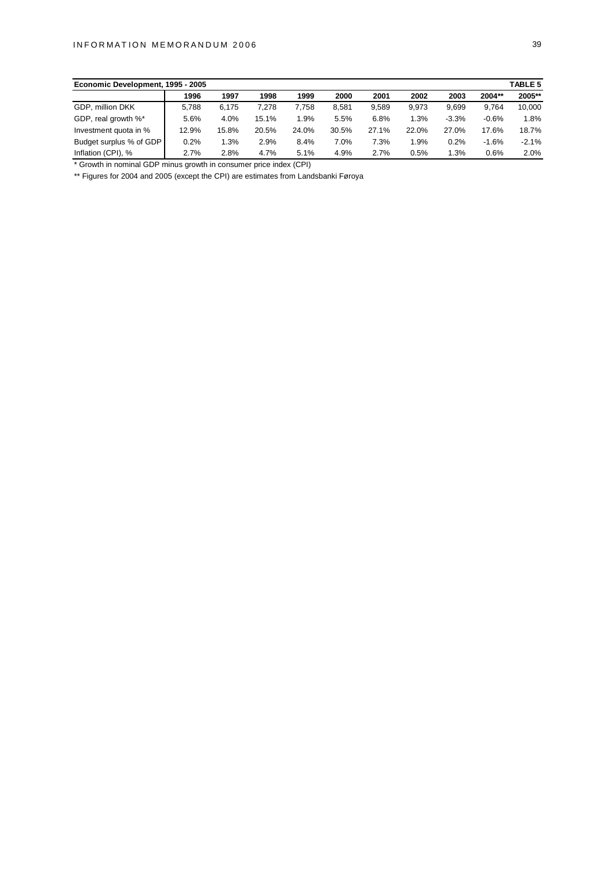| Economic Development, 1995 - 2005 |       |       |       |       |       |       |       |         |         | <b>TABLE 5</b> |
|-----------------------------------|-------|-------|-------|-------|-------|-------|-------|---------|---------|----------------|
|                                   | 1996  | 1997  | 1998  | 1999  | 2000  | 2001  | 2002  | 2003    | 2004**  | 2005**         |
| GDP, million DKK                  | 5.788 | 6.175 | 7.278 | 7.758 | 8.581 | 9.589 | 9.973 | 9.699   | 9.764   | 10,000         |
| GDP, real growth %*               | 5.6%  | 4.0%  | 15.1% | 1.9%  | 5.5%  | 6.8%  | 1.3%  | $-3.3%$ | $-0.6%$ | 1.8%           |
| Investment quota in %             | 12.9% | 15.8% | 20.5% | 24.0% | 30.5% | 27.1% | 22.0% | 27.0%   | 17.6%   | 18.7%          |
| Budget surplus % of GDP           | 0.2%  | 1.3%  | 2.9%  | 8.4%  | 7.0%  | 7.3%  | 1.9%  | 0.2%    | $-1.6%$ | $-2.1%$        |
| Inflation (CPI), %                | 2.7%  | 2.8%  | 4.7%  | 5.1%  | 4.9%  | 2.7%  | 0.5%  | 1.3%    | 0.6%    | 2.0%           |

\* Growth in nominal GDP minus growth in consumer price index (CPI)

\*\* Figures for 2004 and 2005 (except the CPI) are estimates from Landsbanki Føroya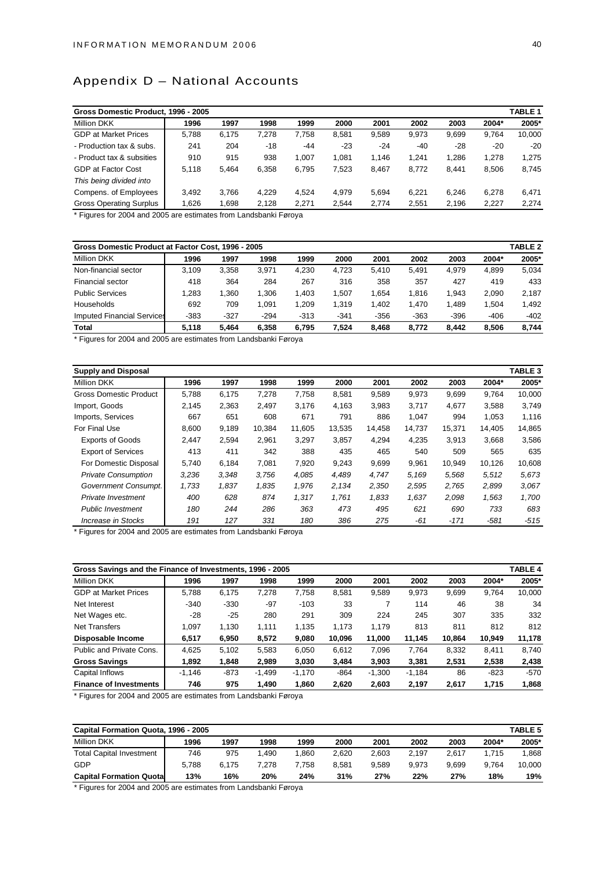# Appendix D – National Accounts

| Gross Domestic Product, 1996 - 2005 |       |       |       |       |       |       |       |       |       | TABLE 1 |
|-------------------------------------|-------|-------|-------|-------|-------|-------|-------|-------|-------|---------|
| <b>Million DKK</b>                  | 1996  | 1997  | 1998  | 1999  | 2000  | 2001  | 2002  | 2003  | 2004* | 2005*   |
| <b>GDP</b> at Market Prices         | 5,788 | 6.175 | 7.278 | 7.758 | 8.581 | 9.589 | 9.973 | 9.699 | 9.764 | 10.000  |
| - Production tax & subs.            | 241   | 204   | $-18$ | $-44$ | $-23$ | $-24$ | $-40$ | $-28$ | $-20$ | $-20$   |
| - Product tax & subsities           | 910   | 915   | 938   | 1.007 | 1.081 | 1.146 | 1.241 | 1.286 | 1.278 | 1,275   |
| <b>GDP at Factor Cost</b>           | 5,118 | 5.464 | 6,358 | 6,795 | 7.523 | 8.467 | 8,772 | 8.441 | 8,506 | 8,745   |
| This being divided into             |       |       |       |       |       |       |       |       |       |         |
| Compens. of Employees               | 3.492 | 3.766 | 4.229 | 4.524 | 4,979 | 5.694 | 6.221 | 6.246 | 6,278 | 6,471   |
| <b>Gross Operating Surplus</b>      | 1.626 | 1.698 | 2.128 | 2.271 | 2,544 | 2,774 | 2.551 | 2,196 | 2.227 | 2,274   |

\* Figures for 2004 and 2005 are estimates from Landsbanki Føroya

| <b>TABLE 2</b><br>Gross Domestic Product at Factor Cost, 1996 - 2005 |        |        |        |        |        |        |        |        |        |        |  |
|----------------------------------------------------------------------|--------|--------|--------|--------|--------|--------|--------|--------|--------|--------|--|
| <b>Million DKK</b>                                                   | 1996   | 1997   | 1998   | 1999   | 2000   | 2001   | 2002   | 2003   | 2004*  | 2005*  |  |
| Non-financial sector                                                 | 3.109  | 3.358  | 3.971  | 4.230  | 4.723  | 5.410  | 5.491  | 4.979  | 4.899  | 5.034  |  |
| Financial sector                                                     | 418    | 364    | 284    | 267    | 316    | 358    | 357    | 427    | 419    | 433    |  |
| <b>Public Services</b>                                               | .283   | .360   | 1.306  | 1.403  | .507   | .654   | 1.816  | 1.943  | 2.090  | 2.187  |  |
| Households                                                           | 692    | 709    | 1.091  | 1.209  | 1.319  | 1.402  | 1.470  | 1.489  | 1.504  | 1.492  |  |
| <b>Imputed Financial Services</b>                                    | $-383$ | $-327$ | $-294$ | $-313$ | $-341$ | $-356$ | $-363$ | $-396$ | $-406$ | $-402$ |  |
| <b>Total</b>                                                         | 5.118  | 5.464  | 6.358  | 6.795  | 7.524  | 8.468  | 8.772  | 8.442  | 8.506  | 8.744  |  |

\* Figures for 2004 and 2005 are estimates from Landsbanki Føroya

| <b>Supply and Disposal</b>    |       |       |        |        |        |        |        |        |        | TABLE <sub>3</sub> |
|-------------------------------|-------|-------|--------|--------|--------|--------|--------|--------|--------|--------------------|
| Million DKK                   | 1996  | 1997  | 1998   | 1999   | 2000   | 2001   | 2002   | 2003   | 2004*  | 2005*              |
| <b>Gross Domestic Product</b> | 5,788 | 6,175 | 7,278  | 7,758  | 8,581  | 9,589  | 9,973  | 9,699  | 9,764  | 10,000             |
| Import, Goods                 | 2,145 | 2,363 | 2,497  | 3,176  | 4,163  | 3,983  | 3,717  | 4,677  | 3,588  | 3,749              |
| Imports, Services             | 667   | 651   | 608    | 671    | 791    | 886    | 1,047  | 994    | 1,053  | 1,116              |
| For Final Use                 | 8.600 | 9,189 | 10.384 | 11.605 | 13,535 | 14,458 | 14,737 | 15.371 | 14.405 | 14,865             |
| <b>Exports of Goods</b>       | 2,447 | 2,594 | 2,961  | 3,297  | 3,857  | 4,294  | 4,235  | 3,913  | 3,668  | 3,586              |
| <b>Export of Services</b>     | 413   | 411   | 342    | 388    | 435    | 465    | 540    | 509    | 565    | 635                |
| For Domestic Disposal         | 5,740 | 6,184 | 7,081  | 7,920  | 9,243  | 9,699  | 9,961  | 10,949 | 10,126 | 10,608             |
| <b>Private Consumption</b>    | 3,236 | 3,348 | 3,756  | 4,085  | 4,489  | 4,747  | 5,169  | 5,568  | 5,512  | 5,673              |
| Government Consumpt.          | 1,733 | 1,837 | 1,835  | 1,976  | 2,134  | 2,350  | 2,595  | 2,765  | 2,899  | 3,067              |
| Private Investment            | 400   | 628   | 874    | 1,317  | 1,761  | 1,833  | 1,637  | 2,098  | 1,563  | 1,700              |
| <b>Public Investment</b>      | 180   | 244   | 286    | 363    | 473    | 495    | 621    | 690    | 733    | 683                |
| Increase in Stocks            | 191   | 127   | 331    | 180    | 386    | 275    | -61    | $-171$ | $-581$ | $-515$             |

\* Figures for 2004 and 2005 are estimates from Landsbanki Føroya

| Gross Savings and the Finance of Investments, 1996 - 2005 |          |        |          |          |        |          |          |        |        |        |
|-----------------------------------------------------------|----------|--------|----------|----------|--------|----------|----------|--------|--------|--------|
| <b>Million DKK</b>                                        | 1996     | 1997   | 1998     | 1999     | 2000   | 2001     | 2002     | 2003   | 2004*  | 2005*  |
| <b>GDP at Market Prices</b>                               | 5.788    | 6.175  | 7,278    | 7.758    | 8,581  | 9,589    | 9,973    | 9,699  | 9,764  | 10,000 |
| Net Interest                                              | $-340$   | $-330$ | $-97$    | $-103$   | 33     | 7        | 114      | 46     | 38     | 34     |
| Net Wages etc.                                            | -28      | $-25$  | 280      | 291      | 309    | 224      | 245      | 307    | 335    | 332    |
| Net Transfers                                             | 1.097    | 1.130  | 1,111    | 1.135    | 1.173  | 1.179    | 813      | 811    | 812    | 812    |
| Disposable Income                                         | 6.517    | 6,950  | 8,572    | 9,080    | 10,096 | 11,000   | 11,145   | 10.864 | 10,949 | 11,178 |
| Public and Private Cons.                                  | 4,625    | 5,102  | 5,583    | 6,050    | 6,612  | 7,096    | 7.764    | 8,332  | 8,411  | 8,740  |
| <b>Gross Savings</b>                                      | 1,892    | 1,848  | 2,989    | 3,030    | 3,484  | 3,903    | 3,381    | 2,531  | 2,538  | 2,438  |
| Capital Inflows                                           | $-1.146$ | $-873$ | $-1,499$ | $-1,170$ | $-864$ | $-1,300$ | $-1,184$ | 86     | $-823$ | $-570$ |
| <b>Finance of Investments</b>                             | 746      | 975    | 1.490    | 1,860    | 2,620  | 2,603    | 2,197    | 2,617  | 1,715  | 1,868  |

\* Figures for 2004 and 2005 are estimates from Landsbanki Føroya

| <b>TABLE 5</b><br>Capital Formation Quota, 1996 - 2005 |       |       |       |       |       |       |       |       |       |        |  |
|--------------------------------------------------------|-------|-------|-------|-------|-------|-------|-------|-------|-------|--------|--|
| <b>Million DKK</b>                                     | 1996  | 1997  | 1998  | 1999  | 2000  | 2001  | 2002  | 2003  | 2004* | 2005*  |  |
| <b>Total Capital Investment</b>                        | 746   | 975   | .490  | .860  | 2.620 | 2.603 | 2.197 | 2.617 | 1.715 | 1,868  |  |
| <b>GDP</b>                                             | 5.788 | 6.175 | 7.278 | 758.' | 8.581 | 9.589 | 9.973 | 9.699 | 9.764 | 10,000 |  |
| <b>Capital Formation Quotal</b>                        | 13%   | 16%   | 20%   | 24%   | 31%   | 27%   | 22%   | 27%   | 18%   | 19%    |  |

\* Figures for 2004 and 2005 are estimates from Landsbanki Føroya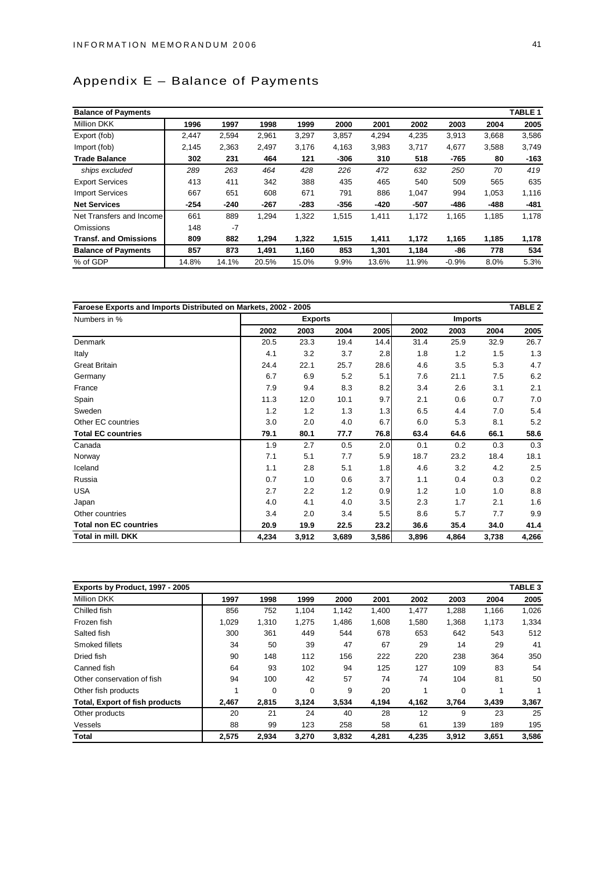# Appendix E – Balance of Payments

| <b>Balance of Payments</b>   |        |        |        |        |        |        |        |         |        | TABLE <sub>1</sub> |
|------------------------------|--------|--------|--------|--------|--------|--------|--------|---------|--------|--------------------|
| <b>Million DKK</b>           | 1996   | 1997   | 1998   | 1999   | 2000   | 2001   | 2002   | 2003    | 2004   | 2005               |
| Export (fob)                 | 2,447  | 2,594  | 2,961  | 3,297  | 3,857  | 4,294  | 4,235  | 3,913   | 3,668  | 3,586              |
| Import (fob)                 | 2,145  | 2,363  | 2,497  | 3,176  | 4,163  | 3,983  | 3,717  | 4,677   | 3,588  | 3,749              |
| <b>Trade Balance</b>         | 302    | 231    | 464    | 121    | $-306$ | 310    | 518    | -765    | 80     | $-163$             |
| ships excluded               | 289    | 263    | 464    | 428    | 226    | 472    | 632    | 250     | 70     | 419                |
| <b>Export Services</b>       | 413    | 411    | 342    | 388    | 435    | 465    | 540    | 509     | 565    | 635                |
| <b>Import Services</b>       | 667    | 651    | 608    | 671    | 791    | 886    | 1,047  | 994     | 1,053  | 1,116              |
| <b>Net Services</b>          | $-254$ | $-240$ | $-267$ | $-283$ | $-356$ | $-420$ | $-507$ | -486    | $-488$ | $-481$             |
| Net Transfers and Income     | 661    | 889    | 1,294  | 1,322  | 1,515  | 1,411  | 1,172  | 1,165   | 1,185  | 1,178              |
| Omissions                    | 148    | $-7$   |        |        |        |        |        |         |        |                    |
| <b>Transf. and Omissions</b> | 809    | 882    | 1,294  | 1,322  | 1,515  | 1,411  | 1,172  | 1,165   | 1,185  | 1,178              |
| <b>Balance of Payments</b>   | 857    | 873    | 1,491  | 1,160  | 853    | 1,301  | 1,184  | -86     | 778    | 534                |
| % of GDP                     | 14.8%  | 14.1%  | 20.5%  | 15.0%  | 9.9%   | 13.6%  | 11.9%  | $-0.9%$ | 8.0%   | 5.3%               |

| Faroese Exports and Imports Distributed on Markets, 2002 - 2005<br><b>TABLE 2</b> |       |                |       |       |       |                |       |       |
|-----------------------------------------------------------------------------------|-------|----------------|-------|-------|-------|----------------|-------|-------|
| Numbers in %                                                                      |       | <b>Exports</b> |       |       |       | <b>Imports</b> |       |       |
|                                                                                   | 2002  | 2003           | 2004  | 2005  | 2002  | 2003           | 2004  | 2005  |
| Denmark                                                                           | 20.5  | 23.3           | 19.4  | 14.4  | 31.4  | 25.9           | 32.9  | 26.7  |
| Italy                                                                             | 4.1   | 3.2            | 3.7   | 2.8   | 1.8   | 1.2            | 1.5   | 1.3   |
| <b>Great Britain</b>                                                              | 24.4  | 22.1           | 25.7  | 28.6  | 4.6   | 3.5            | 5.3   | 4.7   |
| Germany                                                                           | 6.7   | 6.9            | 5.2   | 5.1   | 7.6   | 21.1           | 7.5   | 6.2   |
| France                                                                            | 7.9   | 9.4            | 8.3   | 8.2   | 3.4   | 2.6            | 3.1   | 2.1   |
| Spain                                                                             | 11.3  | 12.0           | 10.1  | 9.7   | 2.1   | 0.6            | 0.7   | 7.0   |
| Sweden                                                                            | 1.2   | 1.2            | 1.3   | 1.3   | 6.5   | 4.4            | 7.0   | 5.4   |
| Other EC countries                                                                | 3.0   | 2.0            | 4.0   | 6.7   | 6.0   | 5.3            | 8.1   | 5.2   |
| <b>Total EC countries</b>                                                         | 79.1  | 80.1           | 77.7  | 76.8  | 63.4  | 64.6           | 66.1  | 58.6  |
| Canada                                                                            | 1.9   | 2.7            | 0.5   | 2.0   | 0.1   | 0.2            | 0.3   | 0.3   |
| Norway                                                                            | 7.1   | 5.1            | 7.7   | 5.9   | 18.7  | 23.2           | 18.4  | 18.1  |
| Iceland                                                                           | 1.1   | 2.8            | 5.1   | 1.8   | 4.6   | 3.2            | 4.2   | 2.5   |
| Russia                                                                            | 0.7   | 1.0            | 0.6   | 3.7   | 1.1   | 0.4            | 0.3   | 0.2   |
| USA                                                                               | 2.7   | 2.2            | 1.2   | 0.9   | 1.2   | 1.0            | 1.0   | 8.8   |
| Japan                                                                             | 4.0   | 4.1            | 4.0   | 3.5   | 2.3   | 1.7            | 2.1   | 1.6   |
| Other countries                                                                   | 3.4   | 2.0            | 3.4   | 5.5   | 8.6   | 5.7            | 7.7   | 9.9   |
| <b>Total non EC countries</b>                                                     | 20.9  | 19.9           | 22.5  | 23.2  | 36.6  | 35.4           | 34.0  | 41.4  |
| Total in mill. DKK                                                                | 4,234 | 3,912          | 3,689 | 3,586 | 3,896 | 4,864          | 3,738 | 4,266 |

| Exports by Product, 1997 - 2005       |       |       |       |       |       |       |             |       | TABLE 3 |
|---------------------------------------|-------|-------|-------|-------|-------|-------|-------------|-------|---------|
| <b>Million DKK</b>                    | 1997  | 1998  | 1999  | 2000  | 2001  | 2002  | 2003        | 2004  | 2005    |
| Chilled fish                          | 856   | 752   | 1,104 | 1,142 | 1,400 | 1,477 | 1,288       | 1,166 | 1,026   |
| Frozen fish                           | 1,029 | 1,310 | 1,275 | 1,486 | 1,608 | 1,580 | 1,368       | 1,173 | 1,334   |
| Salted fish                           | 300   | 361   | 449   | 544   | 678   | 653   | 642         | 543   | 512     |
| Smoked fillets                        | 34    | 50    | 39    | 47    | 67    | 29    | 14          | 29    | 41      |
| Dried fish                            | 90    | 148   | 112   | 156   | 222   | 220   | 238         | 364   | 350     |
| Canned fish                           | 64    | 93    | 102   | 94    | 125   | 127   | 109         | 83    | 54      |
| Other conservation of fish            | 94    | 100   | 42    | 57    | 74    | 74    | 104         | 81    | 50      |
| Other fish products                   |       | 0     | 0     | 9     | 20    |       | $\mathbf 0$ |       | 1       |
| <b>Total, Export of fish products</b> | 2,467 | 2,815 | 3,124 | 3,534 | 4,194 | 4,162 | 3,764       | 3,439 | 3,367   |
| Other products                        | 20    | 21    | 24    | 40    | 28    | 12    | 9           | 23    | 25      |
| Vessels                               | 88    | 99    | 123   | 258   | 58    | 61    | 139         | 189   | 195     |
| Total                                 | 2.575 | 2,934 | 3,270 | 3,832 | 4,281 | 4,235 | 3,912       | 3,651 | 3,586   |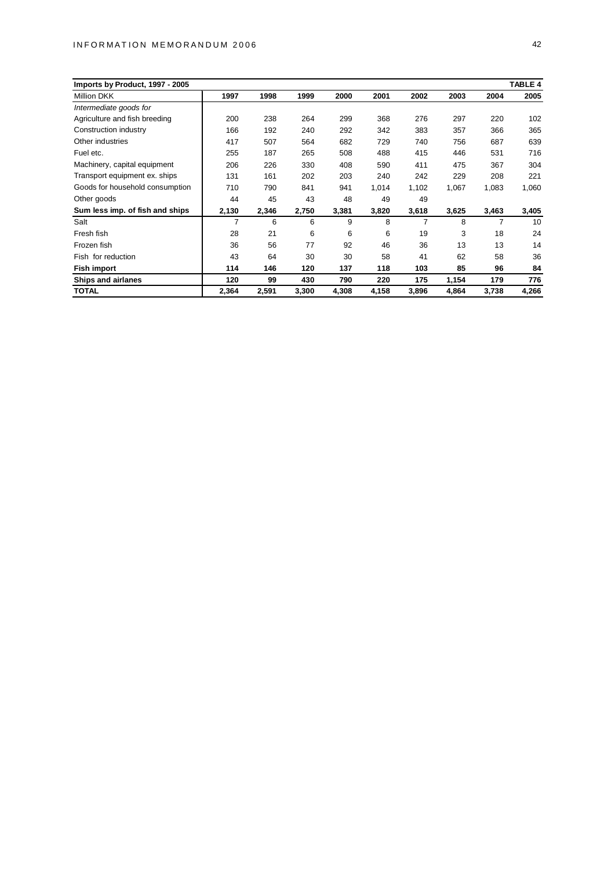#### INFORMATION MEMORANDUM 2006 42

| Imports by Product, 1997 - 2005 | <b>TABLE 4</b> |       |       |       |       |       |       |       |       |  |  |  |
|---------------------------------|----------------|-------|-------|-------|-------|-------|-------|-------|-------|--|--|--|
| <b>Million DKK</b>              | 1997           | 1998  | 1999  | 2000  | 2001  | 2002  | 2003  | 2004  | 2005  |  |  |  |
| Intermediate goods for          |                |       |       |       |       |       |       |       |       |  |  |  |
| Agriculture and fish breeding   | 200            | 238   | 264   | 299   | 368   | 276   | 297   | 220   | 102   |  |  |  |
| Construction industry           | 166            | 192   | 240   | 292   | 342   | 383   | 357   | 366   | 365   |  |  |  |
| Other industries                | 417            | 507   | 564   | 682   | 729   | 740   | 756   | 687   | 639   |  |  |  |
| Fuel etc.                       | 255            | 187   | 265   | 508   | 488   | 415   | 446   | 531   | 716   |  |  |  |
| Machinery, capital equipment    | 206            | 226   | 330   | 408   | 590   | 411   | 475   | 367   | 304   |  |  |  |
| Transport equipment ex. ships   | 131            | 161   | 202   | 203   | 240   | 242   | 229   | 208   | 221   |  |  |  |
| Goods for household consumption | 710            | 790   | 841   | 941   | 1,014 | 1,102 | 1,067 | 1,083 | 1,060 |  |  |  |
| Other goods                     | 44             | 45    | 43    | 48    | 49    | 49    |       |       |       |  |  |  |
| Sum less imp. of fish and ships | 2,130          | 2,346 | 2,750 | 3,381 | 3,820 | 3,618 | 3,625 | 3,463 | 3,405 |  |  |  |
| Salt                            | 7              | 6     | 6     | 9     | 8     | 7     | 8     | 7     | 10    |  |  |  |
| Fresh fish                      | 28             | 21    | 6     | 6     | 6     | 19    | 3     | 18    | 24    |  |  |  |
| Frozen fish                     | 36             | 56    | 77    | 92    | 46    | 36    | 13    | 13    | 14    |  |  |  |
| Fish for reduction              | 43             | 64    | 30    | 30    | 58    | 41    | 62    | 58    | 36    |  |  |  |
| <b>Fish import</b>              | 114            | 146   | 120   | 137   | 118   | 103   | 85    | 96    | 84    |  |  |  |
| Ships and airlanes              | 120            | 99    | 430   | 790   | 220   | 175   | 1,154 | 179   | 776   |  |  |  |
| <b>TOTAL</b>                    | 2,364          | 2,591 | 3,300 | 4,308 | 4,158 | 3,896 | 4,864 | 3,738 | 4,266 |  |  |  |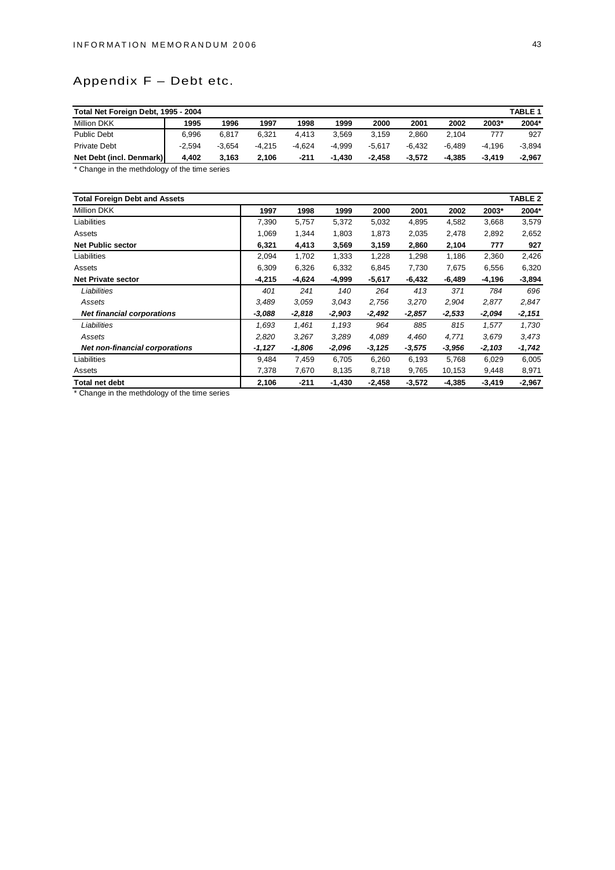# Appendix F – Debt etc.

| <b>TABLE 1</b><br>Total Net Foreign Debt, 1995 - 2004 |          |          |          |          |          |          |          |          |          |          |
|-------------------------------------------------------|----------|----------|----------|----------|----------|----------|----------|----------|----------|----------|
| <b>Million DKK</b>                                    | 1995     | 1996     | 1997     | 1998     | 1999     | 2000     | 2001     | 2002     | 2003*    | 2004*    |
| <b>Public Debt</b>                                    | 6.996    | 6.817    | 6.321    | 4.413    | 3.569    | 3.159    | 2.860    | 2.104    | 777      | 927      |
| <b>Private Debt</b>                                   | $-2.594$ | $-3.654$ | $-4.215$ | $-4.624$ | $-4.999$ | $-5.617$ | $-6.432$ | $-6.489$ | $-4.196$ | $-3.894$ |
| Net Debt (incl. Denmark)                              | 4.402    | 3.163    | 2.106    | -211     | $-1.430$ | $-2.458$ | $-3.572$ | $-4.385$ | $-3.419$ | $-2,967$ |

\* Change in the methdology of the time series

| <b>Total Foreign Debt and Assets</b>  |          |          |          |          |          |          |          | TABLE <sub>2</sub> |
|---------------------------------------|----------|----------|----------|----------|----------|----------|----------|--------------------|
| Million DKK                           | 1997     | 1998     | 1999     | 2000     | 2001     | 2002     | 2003*    | 2004*              |
| Liabilities                           | 7,390    | 5,757    | 5,372    | 5,032    | 4,895    | 4,582    | 3,668    | 3,579              |
| Assets                                | 1,069    | 1,344    | 1,803    | 1,873    | 2,035    | 2,478    | 2,892    | 2,652              |
| <b>Net Public sector</b>              | 6,321    | 4,413    | 3,569    | 3,159    | 2,860    | 2,104    | 777      | 927                |
| Liabilities                           | 2,094    | 1,702    | 1,333    | 1,228    | 1,298    | 1,186    | 2,360    | 2,426              |
| Assets                                | 6,309    | 6,326    | 6,332    | 6,845    | 7,730    | 7,675    | 6,556    | 6,320              |
| <b>Net Private sector</b>             | $-4,215$ | $-4,624$ | $-4,999$ | $-5,617$ | $-6,432$ | $-6,489$ | -4,196   | $-3,894$           |
| Liabilities                           | 401      | 241      | 140      | 264      | 413      | 371      | 784      | 696                |
| Assets                                | 3,489    | 3,059    | 3,043    | 2,756    | 3,270    | 2,904    | 2,877    | 2,847              |
| <b>Net financial corporations</b>     | $-3,088$ | $-2,818$ | $-2,903$ | $-2,492$ | $-2,857$ | $-2,533$ | -2,094   | $-2,151$           |
| Liabilities                           | 1,693    | 1,461    | 1,193    | 964      | 885      | 815      | 1,577    | 1,730              |
| Assets                                | 2,820    | 3,267    | 3,289    | 4,089    | 4,460    | 4,771    | 3,679    | 3,473              |
| <b>Net non-financial corporations</b> | $-1,127$ | -1,806   | -2,096   | $-3,125$ | $-3,575$ | $-3,956$ | $-2,103$ | $-1,742$           |
| Liabilities                           | 9,484    | 7,459    | 6,705    | 6,260    | 6,193    | 5,768    | 6,029    | 6,005              |
| Assets                                | 7,378    | 7,670    | 8,135    | 8,718    | 9,765    | 10,153   | 9,448    | 8,971              |
| Total net debt                        | 2,106    | $-211$   | $-1,430$ | $-2,458$ | $-3,572$ | $-4,385$ | $-3,419$ | $-2,967$           |

\* Change in the methdology of the time series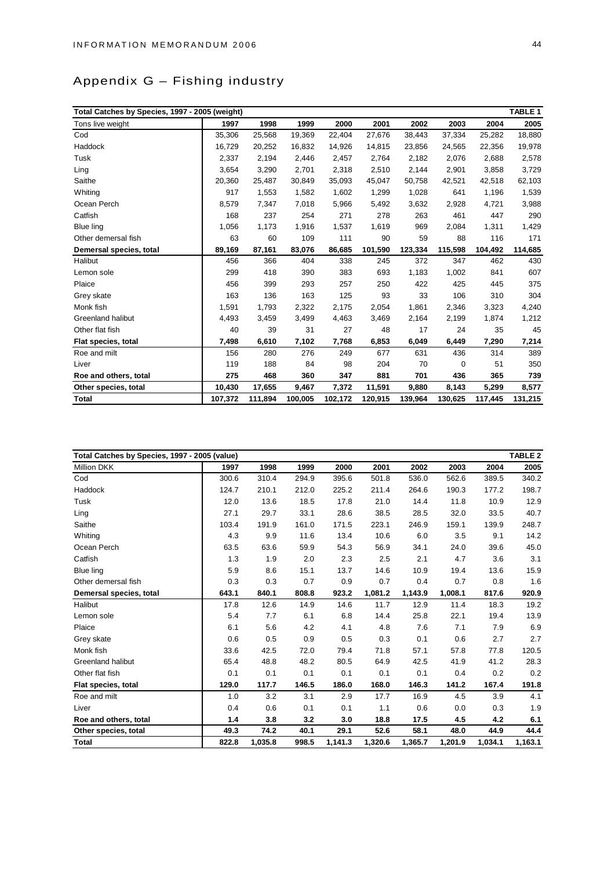# Appendix G – Fishing industry

| Total Catches by Species, 1997 - 2005 (weight) |         |         |         |         |         |         |         |         | TABLE 1 |
|------------------------------------------------|---------|---------|---------|---------|---------|---------|---------|---------|---------|
| Tons live weight                               | 1997    | 1998    | 1999    | 2000    | 2001    | 2002    | 2003    | 2004    | 2005    |
| Cod                                            | 35,306  | 25,568  | 19,369  | 22,404  | 27,676  | 38,443  | 37,334  | 25,282  | 18,880  |
| Haddock                                        | 16,729  | 20,252  | 16,832  | 14,926  | 14,815  | 23,856  | 24,565  | 22,356  | 19,978  |
| Tusk                                           | 2,337   | 2,194   | 2,446   | 2,457   | 2,764   | 2,182   | 2,076   | 2,688   | 2,578   |
| Ling                                           | 3.654   | 3,290   | 2,701   | 2,318   | 2,510   | 2,144   | 2,901   | 3,858   | 3,729   |
| Saithe                                         | 20,360  | 25,487  | 30,849  | 35,093  | 45,047  | 50,758  | 42,521  | 42,518  | 62,103  |
| Whiting                                        | 917     | 1,553   | 1,582   | 1,602   | 1,299   | 1,028   | 641     | 1,196   | 1,539   |
| Ocean Perch                                    | 8,579   | 7,347   | 7,018   | 5,966   | 5,492   | 3,632   | 2,928   | 4,721   | 3,988   |
| Catfish                                        | 168     | 237     | 254     | 271     | 278     | 263     | 461     | 447     | 290     |
| <b>Blue ling</b>                               | 1,056   | 1,173   | 1,916   | 1,537   | 1,619   | 969     | 2,084   | 1,311   | 1,429   |
| Other demersal fish                            | 63      | 60      | 109     | 111     | 90      | 59      | 88      | 116     | 171     |
| Demersal species, total                        | 89,169  | 87,161  | 83,076  | 86,685  | 101,590 | 123,334 | 115,598 | 104,492 | 114,685 |
| Halibut                                        | 456     | 366     | 404     | 338     | 245     | 372     | 347     | 462     | 430     |
| Lemon sole                                     | 299     | 418     | 390     | 383     | 693     | 1,183   | 1,002   | 841     | 607     |
| Plaice                                         | 456     | 399     | 293     | 257     | 250     | 422     | 425     | 445     | 375     |
| Grey skate                                     | 163     | 136     | 163     | 125     | 93      | 33      | 106     | 310     | 304     |
| Monk fish                                      | 1,591   | 1,793   | 2,322   | 2,175   | 2,054   | 1,861   | 2,346   | 3,323   | 4,240   |
| <b>Greenland halibut</b>                       | 4,493   | 3,459   | 3,499   | 4,463   | 3,469   | 2,164   | 2,199   | 1,874   | 1,212   |
| Other flat fish                                | 40      | 39      | 31      | 27      | 48      | 17      | 24      | 35      | 45      |
| Flat species, total                            | 7,498   | 6,610   | 7,102   | 7,768   | 6,853   | 6,049   | 6,449   | 7,290   | 7,214   |
| Roe and milt                                   | 156     | 280     | 276     | 249     | 677     | 631     | 436     | 314     | 389     |
| Liver                                          | 119     | 188     | 84      | 98      | 204     | 70      | 0       | 51      | 350     |
| Roe and others, total                          | 275     | 468     | 360     | 347     | 881     | 701     | 436     | 365     | 739     |
| Other species, total                           | 10,430  | 17,655  | 9,467   | 7,372   | 11,591  | 9,880   | 8,143   | 5,299   | 8,577   |
| <b>Total</b>                                   | 107,372 | 111,894 | 100,005 | 102,172 | 120,915 | 139,964 | 130,625 | 117,445 | 131,215 |

| Total Catches by Species, 1997 - 2005 (value) |       |         |       |         |         |         |         |         | TABLE <sub>2</sub> |
|-----------------------------------------------|-------|---------|-------|---------|---------|---------|---------|---------|--------------------|
| <b>Million DKK</b>                            | 1997  | 1998    | 1999  | 2000    | 2001    | 2002    | 2003    | 2004    | 2005               |
| Cod                                           | 300.6 | 310.4   | 294.9 | 395.6   | 501.8   | 536.0   | 562.6   | 389.5   | 340.2              |
| Haddock                                       | 124.7 | 210.1   | 212.0 | 225.2   | 211.4   | 264.6   | 190.3   | 177.2   | 198.7              |
| Tusk                                          | 12.0  | 13.6    | 18.5  | 17.8    | 21.0    | 14.4    | 11.8    | 10.9    | 12.9               |
| Ling                                          | 27.1  | 29.7    | 33.1  | 28.6    | 38.5    | 28.5    | 32.0    | 33.5    | 40.7               |
| Saithe                                        | 103.4 | 191.9   | 161.0 | 171.5   | 223.1   | 246.9   | 159.1   | 139.9   | 248.7              |
| Whiting                                       | 4.3   | 9.9     | 11.6  | 13.4    | 10.6    | 6.0     | 3.5     | 9.1     | 14.2               |
| Ocean Perch                                   | 63.5  | 63.6    | 59.9  | 54.3    | 56.9    | 34.1    | 24.0    | 39.6    | 45.0               |
| Catfish                                       | 1.3   | 1.9     | 2.0   | 2.3     | 2.5     | 2.1     | 4.7     | 3.6     | 3.1                |
| <b>Blue ling</b>                              | 5.9   | 8.6     | 15.1  | 13.7    | 14.6    | 10.9    | 19.4    | 13.6    | 15.9               |
| Other demersal fish                           | 0.3   | 0.3     | 0.7   | 0.9     | 0.7     | 0.4     | 0.7     | 0.8     | 1.6                |
| Demersal species, total                       | 643.1 | 840.1   | 808.8 | 923.2   | 1,081.2 | 1,143.9 | 1,008.1 | 817.6   | 920.9              |
| Halibut                                       | 17.8  | 12.6    | 14.9  | 14.6    | 11.7    | 12.9    | 11.4    | 18.3    | 19.2               |
| Lemon sole                                    | 5.4   | 7.7     | 6.1   | 6.8     | 14.4    | 25.8    | 22.1    | 19.4    | 13.9               |
| Plaice                                        | 6.1   | 5.6     | 4.2   | 4.1     | 4.8     | 7.6     | 7.1     | 7.9     | 6.9                |
| Grey skate                                    | 0.6   | 0.5     | 0.9   | 0.5     | 0.3     | 0.1     | 0.6     | 2.7     | 2.7                |
| Monk fish                                     | 33.6  | 42.5    | 72.0  | 79.4    | 71.8    | 57.1    | 57.8    | 77.8    | 120.5              |
| <b>Greenland halibut</b>                      | 65.4  | 48.8    | 48.2  | 80.5    | 64.9    | 42.5    | 41.9    | 41.2    | 28.3               |
| Other flat fish                               | 0.1   | 0.1     | 0.1   | 0.1     | 0.1     | 0.1     | 0.4     | 0.2     | 0.2                |
| Flat species, total                           | 129.0 | 117.7   | 146.5 | 186.0   | 168.0   | 146.3   | 141.2   | 167.4   | 191.8              |
| Roe and milt                                  | 1.0   | 3.2     | 3.1   | 2.9     | 17.7    | 16.9    | 4.5     | 3.9     | 4.1                |
| Liver                                         | 0.4   | 0.6     | 0.1   | 0.1     | 1.1     | 0.6     | 0.0     | 0.3     | 1.9                |
| Roe and others, total                         | 1.4   | 3.8     | 3.2   | 3.0     | 18.8    | 17.5    | 4.5     | 4.2     | 6.1                |
| Other species, total                          | 49.3  | 74.2    | 40.1  | 29.1    | 52.6    | 58.1    | 48.0    | 44.9    | 44.4               |
| <b>Total</b>                                  | 822.8 | 1.035.8 | 998.5 | 1.141.3 | 1.320.6 | 1.365.7 | 1.201.9 | 1.034.1 | 1,163.1            |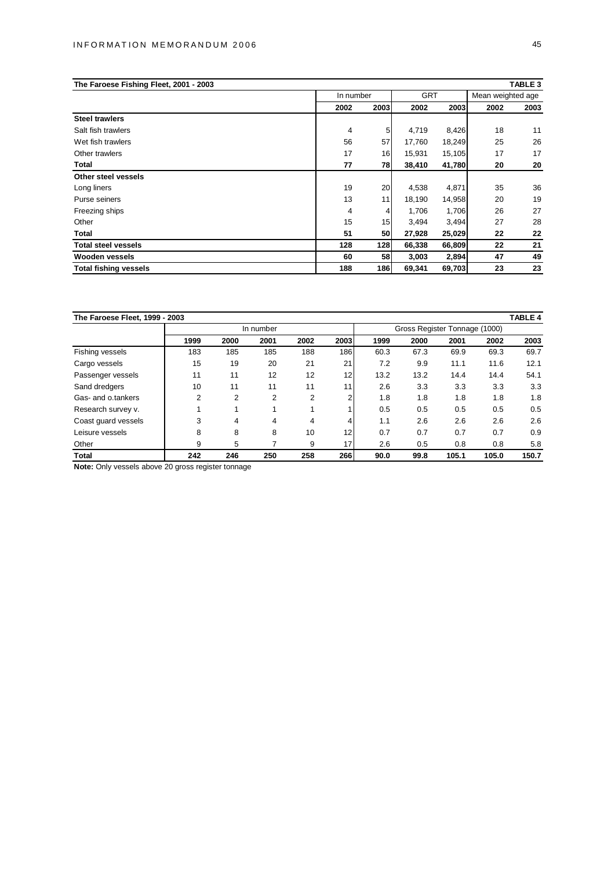| The Faroese Fishing Fleet, 2001 - 2003 |           |      |            |        |                   | TABLE 3 |
|----------------------------------------|-----------|------|------------|--------|-------------------|---------|
|                                        | In number |      | <b>GRT</b> |        | Mean weighted age |         |
|                                        | 2002      | 2003 | 2002       | 2003   | 2002              | 2003    |
| <b>Steel trawlers</b>                  |           |      |            |        |                   |         |
| Salt fish trawlers                     | 4         | 5    | 4,719      | 8,426  | 18                | 11      |
| Wet fish trawlers                      | 56        | 57   | 17,760     | 18,249 | 25                | 26      |
| Other trawlers                         | 17        | 16   | 15,931     | 15,105 | 17                | 17      |
| Total                                  | 77        | 78   | 38,410     | 41,780 | 20                | 20      |
| Other steel vessels                    |           |      |            |        |                   |         |
| Long liners                            | 19        | 20   | 4,538      | 4,871  | 35                | 36      |
| Purse seiners                          | 13        | 11   | 18,190     | 14,958 | 20                | 19      |
| Freezing ships                         | 4         | 4    | 1,706      | 1,706  | 26                | 27      |
| Other                                  | 15        | 15   | 3,494      | 3,494  | 27                | 28      |
| Total                                  | 51        | 50   | 27,928     | 25,029 | 22                | 22      |
| <b>Total steel vessels</b>             | 128       | 128  | 66,338     | 66,809 | 22                | 21      |
| <b>Wooden vessels</b>                  | 60        | 58   | 3,003      | 2,894  | 47                | 49      |
| <b>Total fishing vessels</b>           | 188       | 186  | 69,341     | 69,703 | 23                | 23      |

| The Faroese Fleet, 1999 - 2003 |      |      |           |                               |      |      |      |       |       | <b>TABLE 4</b> |
|--------------------------------|------|------|-----------|-------------------------------|------|------|------|-------|-------|----------------|
|                                |      |      | In number | Gross Register Tonnage (1000) |      |      |      |       |       |                |
|                                | 1999 | 2000 | 2001      | 2002                          | 2003 | 1999 | 2000 | 2001  | 2002  | 2003           |
| Fishing vessels                | 183  | 185  | 185       | 188                           | 186  | 60.3 | 67.3 | 69.9  | 69.3  | 69.7           |
| Cargo vessels                  | 15   | 19   | 20        | 21                            | 21   | 7.2  | 9.9  | 11.1  | 11.6  | 12.1           |
| Passenger vessels              | 11   | 11   | 12        | 12                            | 12   | 13.2 | 13.2 | 14.4  | 14.4  | 54.1           |
| Sand dredgers                  | 10   | 11   | 11        | 11                            | 11   | 2.6  | 3.3  | 3.3   | 3.3   | 3.3            |
| Gas- and o tankers             | 2    | 2    | 2         | 2                             |      | 1.8  | 1.8  | 1.8   | 1.8   | 1.8            |
| Research survey v.             |      |      |           |                               |      | 0.5  | 0.5  | 0.5   | 0.5   | 0.5            |
| Coast guard vessels            | 3    | 4    | 4         | 4                             |      | 1.1  | 2.6  | 2.6   | 2.6   | 2.6            |
| Leisure vessels                | 8    | 8    | 8         | 10                            | 12   | 0.7  | 0.7  | 0.7   | 0.7   | 0.9            |
| Other                          | 9    | 5    |           | 9                             | 17   | 2.6  | 0.5  | 0.8   | 0.8   | 5.8            |
| Total                          | 242  | 246  | 250       | 258                           | 266  | 90.0 | 99.8 | 105.1 | 105.0 | 150.7          |

**Note:** Only vessels above 20 gross register tonnage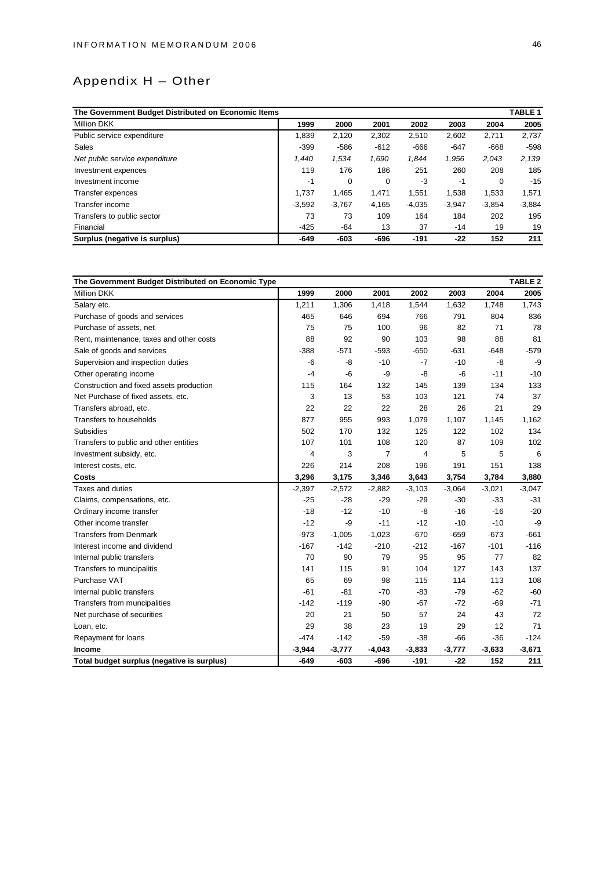# Appendix H – Other

| The Government Budget Distributed on Economic Items |          |          |          |          |          |          | TABLE <sub>1</sub> |
|-----------------------------------------------------|----------|----------|----------|----------|----------|----------|--------------------|
| <b>Million DKK</b>                                  | 1999     | 2000     | 2001     | 2002     | 2003     | 2004     | 2005               |
| Public service expenditure                          | 1,839    | 2,120    | 2,302    | 2,510    | 2,602    | 2,711    | 2,737              |
| Sales                                               | $-399$   | $-586$   | $-612$   | $-666$   | $-647$   | $-668$   | $-598$             |
| Net public service expenditure                      | 1.440    | 1,534    | 1,690    | 1,844    | 1,956    | 2,043    | 2,139              |
| Investment expences                                 | 119      | 176      | 186      | 251      | 260      | 208      | 185                |
| Investment income                                   | -1       | 0        | 0        | -3       | -1       | 0        | $-15$              |
| Transfer expences                                   | 1.737    | 1.465    | 1.471    | 1.551    | 1.538    | 1.533    | 1,571              |
| Transfer income                                     | $-3,592$ | $-3,767$ | $-4,165$ | $-4,035$ | $-3,947$ | $-3,854$ | $-3,884$           |
| Transfers to public sector                          | 73       | 73       | 109      | 164      | 184      | 202      | 195                |
| Financial                                           | $-425$   | -84      | 13       | 37       | $-14$    | 19       | 19                 |
| Surplus (negative is surplus)                       | $-649$   | $-603$   | -696     | $-191$   | $-22$    | 152      | 211                |

| The Government Budget Distributed on Economic Type |          |          |          |          |          |          | <b>TABLE 2</b> |
|----------------------------------------------------|----------|----------|----------|----------|----------|----------|----------------|
| <b>Million DKK</b>                                 | 1999     | 2000     | 2001     | 2002     | 2003     | 2004     | 2005           |
| Salary etc.                                        | 1,211    | 1,306    | 1,418    | 1,544    | 1,632    | 1,748    | 1,743          |
| Purchase of goods and services                     | 465      | 646      | 694      | 766      | 791      | 804      | 836            |
| Purchase of assets, net                            | 75       | 75       | 100      | 96       | 82       | 71       | 78             |
| Rent, maintenance, taxes and other costs           | 88       | 92       | 90       | 103      | 98       | 88       | 81             |
| Sale of goods and services                         | $-388$   | $-571$   | $-593$   | $-650$   | $-631$   | $-648$   | $-579$         |
| Supervision and inspection duties                  | $-6$     | -8       | $-10$    | $-7$     | $-10$    | $-8$     | -9             |
| Other operating income                             | -4       | -6       | -9       | -8       | -6       | $-11$    | $-10$          |
| Construction and fixed assets production           | 115      | 164      | 132      | 145      | 139      | 134      | 133            |
| Net Purchase of fixed assets, etc.                 | 3        | 13       | 53       | 103      | 121      | 74       | 37             |
| Transfers abroad, etc.                             | 22       | 22       | 22       | 28       | 26       | 21       | 29             |
| Transfers to households                            | 877      | 955      | 993      | 1,079    | 1,107    | 1,145    | 1,162          |
| <b>Subsidies</b>                                   | 502      | 170      | 132      | 125      | 122      | 102      | 134            |
| Transfers to public and other entities             | 107      | 101      | 108      | 120      | 87       | 109      | 102            |
| Investment subsidy, etc.                           | 4        | 3        | 7        | 4        | 5        | 5        | 6              |
| Interest costs, etc.                               | 226      | 214      | 208      | 196      | 191      | 151      | 138            |
| Costs                                              | 3,296    | 3,175    | 3,346    | 3,643    | 3,754    | 3,784    | 3,880          |
| Taxes and duties                                   | $-2,397$ | $-2,572$ | $-2,882$ | $-3,103$ | $-3,064$ | $-3,021$ | $-3,047$       |
| Claims, compensations, etc.                        | $-25$    | $-28$    | $-29$    | $-29$    | $-30$    | $-33$    | $-31$          |
| Ordinary income transfer                           | $-18$    | $-12$    | $-10$    | $-8$     | $-16$    | $-16$    | $-20$          |
| Other income transfer                              | $-12$    | -9       | $-11$    | $-12$    | $-10$    | $-10$    | -9             |
| <b>Transfers from Denmark</b>                      | $-973$   | $-1,005$ | $-1,023$ | $-670$   | $-659$   | $-673$   | $-661$         |
| Interest income and dividend                       | $-167$   | $-142$   | $-210$   | $-212$   | $-167$   | $-101$   | $-116$         |
| Internal public transfers                          | 70       | 90       | 79       | 95       | 95       | 77       | 82             |
| Transfers to muncipalitis                          | 141      | 115      | 91       | 104      | 127      | 143      | 137            |
| Purchase VAT                                       | 65       | 69       | 98       | 115      | 114      | 113      | 108            |
| Internal public transfers                          | $-61$    | $-81$    | $-70$    | $-83$    | $-79$    | $-62$    | $-60$          |
| Transfers from muncipalities                       | $-142$   | $-119$   | $-90$    | $-67$    | $-72$    | $-69$    | $-71$          |
| Net purchase of securities                         | 20       | 21       | 50       | 57       | 24       | 43       | 72             |
| Loan, etc.                                         | 29       | 38       | 23       | 19       | 29       | 12       | 71             |
| Repayment for loans                                | $-474$   | $-142$   | $-59$    | $-38$    | $-66$    | $-36$    | $-124$         |
| Income                                             | $-3,944$ | $-3,777$ | $-4,043$ | $-3,833$ | $-3,777$ | $-3,633$ | $-3,671$       |
| Total budget surplus (negative is surplus)         | $-649$   | $-603$   | $-696$   | $-191$   | $-22$    | 152      | 211            |